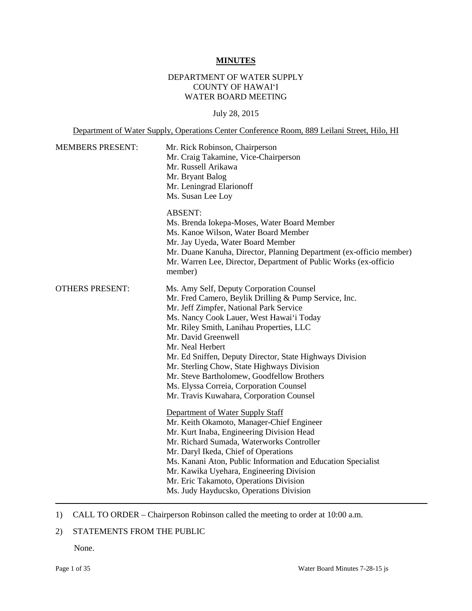#### **MINUTES**

# DEPARTMENT OF WATER SUPPLY COUNTY OF HAWAI'I WATER BOARD MEETING

July 28, 2015

Department of Water Supply, Operations Center Conference Room, 889 Leilani Street, Hilo, HI

| Mr. Rick Robinson, Chairperson<br>Mr. Craig Takamine, Vice-Chairperson<br>Mr. Russell Arikawa<br>Mr. Bryant Balog<br>Mr. Leningrad Elarionoff<br>Ms. Susan Lee Loy                                                                                                                                                                                                                                                                                                                                                                                                                                                                                                                                                                                                                                                                                                                                                                                 |
|----------------------------------------------------------------------------------------------------------------------------------------------------------------------------------------------------------------------------------------------------------------------------------------------------------------------------------------------------------------------------------------------------------------------------------------------------------------------------------------------------------------------------------------------------------------------------------------------------------------------------------------------------------------------------------------------------------------------------------------------------------------------------------------------------------------------------------------------------------------------------------------------------------------------------------------------------|
| <b>ABSENT:</b><br>Ms. Brenda Iokepa-Moses, Water Board Member<br>Ms. Kanoe Wilson, Water Board Member<br>Mr. Jay Uyeda, Water Board Member<br>Mr. Duane Kanuha, Director, Planning Department (ex-officio member)<br>Mr. Warren Lee, Director, Department of Public Works (ex-officio<br>member)                                                                                                                                                                                                                                                                                                                                                                                                                                                                                                                                                                                                                                                   |
| Ms. Amy Self, Deputy Corporation Counsel<br>Mr. Fred Camero, Beylik Drilling & Pump Service, Inc.<br>Mr. Jeff Zimpfer, National Park Service<br>Ms. Nancy Cook Lauer, West Hawai'i Today<br>Mr. Riley Smith, Lanihau Properties, LLC<br>Mr. David Greenwell<br>Mr. Neal Herbert<br>Mr. Ed Sniffen, Deputy Director, State Highways Division<br>Mr. Sterling Chow, State Highways Division<br>Mr. Steve Bartholomew, Goodfellow Brothers<br>Ms. Elyssa Correia, Corporation Counsel<br>Mr. Travis Kuwahara, Corporation Counsel<br>Department of Water Supply Staff<br>Mr. Keith Okamoto, Manager-Chief Engineer<br>Mr. Kurt Inaba, Engineering Division Head<br>Mr. Richard Sumada, Waterworks Controller<br>Mr. Daryl Ikeda, Chief of Operations<br>Ms. Kanani Aton, Public Information and Education Specialist<br>Mr. Kawika Uyehara, Engineering Division<br>Mr. Eric Takamoto, Operations Division<br>Ms. Judy Hayducsko, Operations Division |
|                                                                                                                                                                                                                                                                                                                                                                                                                                                                                                                                                                                                                                                                                                                                                                                                                                                                                                                                                    |

# 1) CALL TO ORDER – Chairperson Robinson called the meeting to order at 10:00 a.m.

# 2) STATEMENTS FROM THE PUBLIC

None.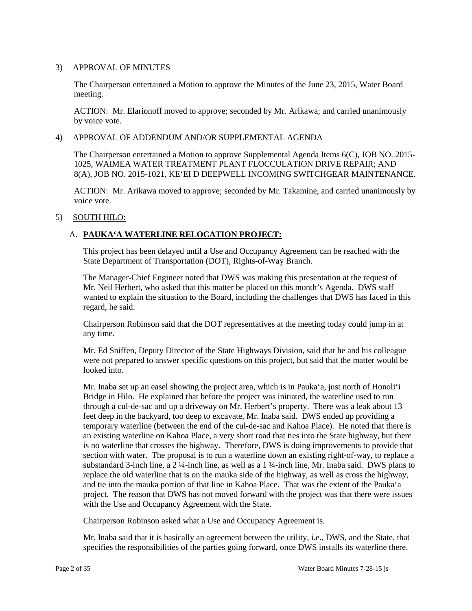### 3) APPROVAL OF MINUTES

 The Chairperson entertained a Motion to approve the Minutes of the June 23, 2015, Water Board meeting.

ACTION: Mr. Elarionoff moved to approve; seconded by Mr. Arikawa; and carried unanimously by voice vote.

#### 4) APPROVAL OF ADDENDUM AND/OR SUPPLEMENTAL AGENDA

The Chairperson entertained a Motion to approve Supplemental Agenda Items 6(C), JOB NO. 2015 1025, WAIMEA WATER TREATMENT PLANT FLOCCULATION DRIVE REPAIR; AND 8(A), JOB NO. 2015-1021, KE'EI D DEEPWELL INCOMING SWITCHGEAR MAINTENANCE.

ACTION: Mr. Arikawa moved to approve; seconded by Mr. Takamine, and carried unanimously by voice vote.

### 5) SOUTH HILO:

# A. **PAUKA'A WATERLINE RELOCATION PROJECT:**

This project has been delayed until a Use and Occupancy Agreement can be reached with the State Department of Transportation (DOT), Rights-of-Way Branch.

 The Manager-Chief Engineer noted that DWS was making this presentation at the request of Mr. Neil Herbert, who asked that this matter be placed on this month's Agenda. DWS staff wanted to explain the situation to the Board, including the challenges that DWS has faced in this regard, he said.

 Chairperson Robinson said that the DOT representatives at the meeting today could jump in at any time.

 Mr. Ed Sniffen, Deputy Director of the State Highways Division, said that he and his colleague were not prepared to answer specific questions on this project, but said that the matter would be looked into.

 Bridge in Hilo. He explained that before the project was initiated, the waterline used to run is no waterline that crosses the highway. Therefore, DWS is doing improvements to provide that and tie into the mauka portion of that line in Kahoa Place. That was the extent of the Pauka'a Mr. Inaba set up an easel showing the project area, which is in Pauka'a, just north of Honoli'i through a cul-de-sac and up a driveway on Mr. Herbert's property. There was a leak about 13 feet deep in the backyard, too deep to excavate, Mr. Inaba said. DWS ended up providing a temporary waterline (between the end of the cul-de-sac and Kahoa Place). He noted that there is an existing waterline on Kahoa Place, a very short road that ties into the State highway, but there section with water. The proposal is to run a waterline down an existing right-of-way, to replace a substandard 3-inch line, a 2 ¼-inch line, as well as a 1 ¼-inch line, Mr. Inaba said. DWS plans to replace the old waterline that is on the mauka side of the highway, as well as cross the highway, project. The reason that DWS has not moved forward with the project was that there were issues with the Use and Occupancy Agreement with the State.

Chairperson Robinson asked what a Use and Occupancy Agreement is.

 Mr. Inaba said that it is basically an agreement between the utility, i.e., DWS, and the State, that specifies the responsibilities of the parties going forward, once DWS installs its waterline there.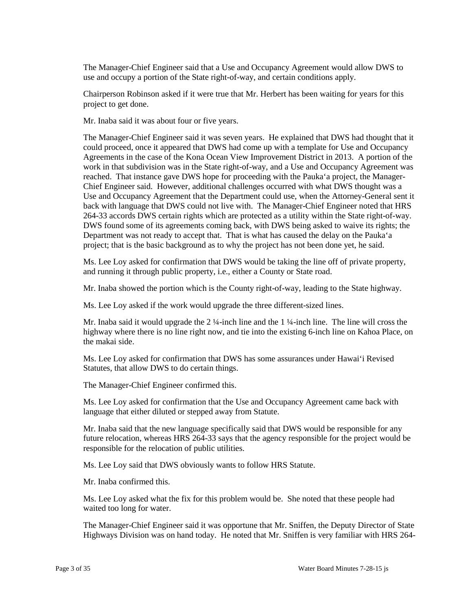The Manager-Chief Engineer said that a Use and Occupancy Agreement would allow DWS to use and occupy a portion of the State right-of-way, and certain conditions apply.

 Chairperson Robinson asked if it were true that Mr. Herbert has been waiting for years for this project to get done.

Mr. Inaba said it was about four or five years.

 The Manager-Chief Engineer said it was seven years. He explained that DWS had thought that it could proceed, once it appeared that DWS had come up with a template for Use and Occupancy Agreements in the case of the Kona Ocean View Improvement District in 2013. A portion of the Use and Occupancy Agreement that the Department could use, when the Attorney-General sent it back with language that DWS could not live with. The Manager-Chief Engineer noted that HRS 264-33 accords DWS certain rights which are protected as a utility within the State right-of-way. 264-33 accords DWS certain rights which are protected as a utility within the State right-of-way. DWS found some of its agreements coming back, with DWS being asked to waive its rights; the Department was not ready to accept that. That is what has caused the delay on the Pauka'a work in that subdivision was in the State right-of-way, and a Use and Occupancy Agreement was reached. That instance gave DWS hope for proceeding with the Pauka'a project, the Manager-Chief Engineer said. However, additional challenges occurred with what DWS thought was a project; that is the basic background as to why the project has not been done yet, he said.

Ms. Lee Loy asked for confirmation that DWS would be taking the line off of private property, and running it through public property, i.e., either a County or State road.

Mr. Inaba showed the portion which is the County right-of-way, leading to the State highway.

Ms. Lee Loy asked if the work would upgrade the three different-sized lines.

Mr. Inaba said it would upgrade the 2 ¼-inch line and the 1 ¼-inch line. The line will cross the highway where there is no line right now, and tie into the existing 6-inch line on Kahoa Place, on the makai side.

 Ms. Lee Loy asked for confirmation that DWS has some assurances under Hawai'i Revised Statutes, that allow DWS to do certain things.

The Manager-Chief Engineer confirmed this.

 Ms. Lee Loy asked for confirmation that the Use and Occupancy Agreement came back with language that either diluted or stepped away from Statute.

Mr. Inaba said that the new language specifically said that DWS would be responsible for any future relocation, whereas HRS 264-33 says that the agency responsible for the project would be responsible for the relocation of public utilities.

Ms. Lee Loy said that DWS obviously wants to follow HRS Statute.

Mr. Inaba confirmed this.

Ms. Lee Loy asked what the fix for this problem would be. She noted that these people had waited too long for water.

The Manager-Chief Engineer said it was opportune that Mr. Sniffen, the Deputy Director of State Highways Division was on hand today. He noted that Mr. Sniffen is very familiar with HRS 264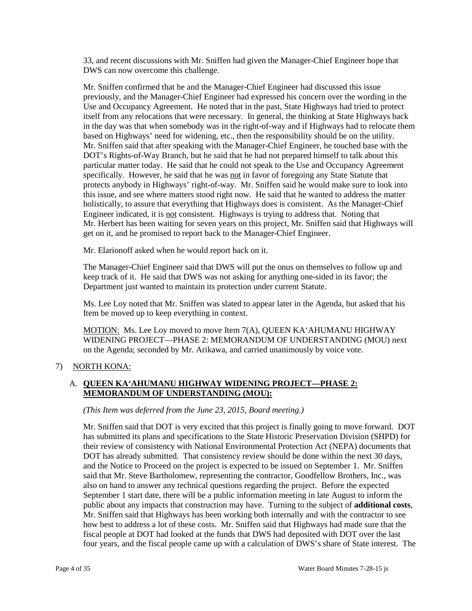33, and recent discussions with Mr. Sniffen had given the Manager-Chief Engineer hope that DWS can now overcome this challenge.

 Use and Occupancy Agreement. He noted that in the past, State Highways had tried to protect itself from any relocations that were necessary. In general, the thinking at State Highways back Mr. Sniffen said that after speaking with the Manager-Chief Engineer, he touched base with the DOT's Rights-of-Way Branch, but he said that he had not prepared himself to talk about this specifically. However, he said that he was not in favor of foregoing any State Statute that Engineer indicated, it is not consistent. Highways is trying to address that. Noting that Mr. Herbert has been waiting for seven years on this project, Mr. Sniffen said that Highways will get on it, and he promised to report back to the Manager-Chief Engineer. Mr. Sniffen confirmed that he and the Manager-Chief Engineer had discussed this issue previously, and the Manager-Chief Engineer had expressed his concern over the wording in the in the day was that when somebody was in the right-of-way and if Highways had to relocate them based on Highways' need for widening, etc., then the responsibility should be on the utility. particular matter today. He said that he could not speak to the Use and Occupancy Agreement protects anybody in Highways' right-of-way. Mr. Sniffen said he would make sure to look into this issue, and see where matters stood right now. He said that he wanted to address the matter holistically, to assure that everything that Highways does is consistent. As the Manager-Chief

Mr. Elarionoff asked when he would report back on it.

The Manager-Chief Engineer said that DWS will put the onus on themselves to follow up and keep track of it. He said that DWS was not asking for anything one-sided in its favor; the Department just wanted to maintain its protection under current Statute.

Ms. Lee Loy noted that Mr. Sniffen was slated to appear later in the Agenda, but asked that his Item be moved up to keep everything in context.

MOTION: Ms. Lee Loy moved to move Item 7(A), QUEEN KA'AHUMANU HIGHWAY WIDENING PROJECT—PHASE 2: MEMORANDUM OF UNDERSTANDING (MOU) next on the Agenda; seconded by Mr. Arikawa, and carried unanimously by voice vote.

### 7) NORTH KONA:

# A. **QUEEN KA'AHUMANU HIGHWAY WIDENING PROJECT—PHASE 2: MEMORANDUM OF UNDERSTANDING (MOU):**

*(This Item was deferred from the June 23, 2015, Board meeting.)* 

 has submitted its plans and specifications to the State Historic Preservation Division (SHPD) for their review of consistency with National Environmental Protection Act (NEPA) documents that said that Mr. Steve Bartholomew, representing the contractor, Goodfellow Brothers, Inc., was public about any impacts that construction may have. Turning to the subject of **additional costs**, Mr. Sniffen said that Highways has been working both internally and with the contractor to see four years, and the fiscal people came up with a calculation of DWS's share of State interest. The Mr. Sniffen said that DOT is very excited that this project is finally going to move forward. DOT DOT has already submitted. That consistency review should be done within the next 30 days, and the Notice to Proceed on the project is expected to be issued on September 1. Mr. Sniffen also on hand to answer any technical questions regarding the project. Before the expected September 1 start date, there will be a public information meeting in late August to inform the how best to address a lot of these costs. Mr. Sniffen said that Highways had made sure that the fiscal people at DOT had looked at the funds that DWS had deposited with DOT over the last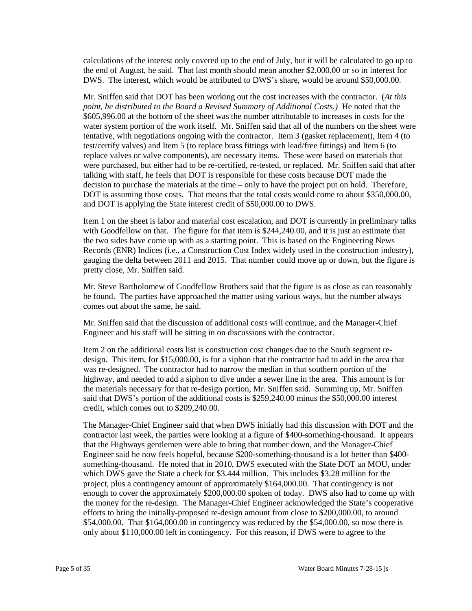calculations of the interest only covered up to the end of July, but it will be calculated to go up to the end of August, he said. That last month should mean another \$2,000.00 or so in interest for DWS. The interest, which would be attributed to DWS's share, would be around \$50,000.00.

 Mr. Sniffen said that DOT has been working out the cost increases with the contractor. (*At this*  water system portion of the work itself. Mr. Sniffen said that all of the numbers on the sheet were were purchased, but either had to be re-certified, re-tested, or replaced. Mr. Sniffen said that after DOT is assuming those costs. That means that the total costs would come to about \$350,000.00, and DOT is applying the State interest credit of \$50,000.00 to DWS. *point, he distributed to the Board a Revised Summary of Additional Costs.)* He noted that the \$605,996.00 at the bottom of the sheet was the number attributable to increases in costs for the tentative, with negotiations ongoing with the contractor. Item 3 (gasket replacement), Item 4 (to test/certify valves) and Item 5 (to replace brass fittings with lead/free fittings) and Item 6 (to replace valves or valve components), are necessary items. These were based on materials that talking with staff, he feels that DOT is responsible for these costs because DOT made the decision to purchase the materials at the time – only to have the project put on hold. Therefore,

 Item 1 on the sheet is labor and material cost escalation, and DOT is currently in preliminary talks with Goodfellow on that. The figure for that item is \$244,240.00, and it is just an estimate that the two sides have come up with as a starting point. This is based on the Engineering News gauging the delta between 2011 and 2015. That number could move up or down, but the figure is Records (ENR) Indices (i.e., a Construction Cost Index widely used in the construction industry), pretty close, Mr. Sniffen said.

 be found. The parties have approached the matter using various ways, but the number always Mr. Steve Bartholomew of Goodfellow Brothers said that the figure is as close as can reasonably comes out about the same, he said.

 Mr. Sniffen said that the discussion of additional costs will continue, and the Manager-Chief Engineer and his staff will be sitting in on discussions with the contractor.

 design. This item, for \$15,000.00, is for a siphon that the contractor had to add in the area that highway, and needed to add a siphon to dive under a sewer line in the area. This amount is for Item 2 on the additional costs list is construction cost changes due to the South segment rewas re-designed. The contractor had to narrow the median in that southern portion of the the materials necessary for that re-design portion, Mr. Sniffen said. Summing up, Mr. Sniffen said that DWS's portion of the additional costs is \$259,240.00 minus the \$50,000.00 interest credit, which comes out to \$209,240.00.

 contractor last week, the parties were looking at a figure of \$400-something-thousand. It appears which DWS gave the State a check for \$3.444 million. This includes \$3.28 million for the enough to cover the approximately \$200,000.00 spoken of today. DWS also had to come up with \$54,000.00. That \$164,000.00 in contingency was reduced by the \$54,000.00, so now there is The Manager-Chief Engineer said that when DWS initially had this discussion with DOT and the that the Highways gentlemen were able to bring that number down, and the Manager-Chief Engineer said he now feels hopeful, because \$200-something-thousand is a lot better than \$400 something-thousand. He noted that in 2010, DWS executed with the State DOT an MOU, under project, plus a contingency amount of approximately \$164,000.00. That contingency is not the money for the re-design. The Manager-Chief Engineer acknowledged the State's cooperative efforts to bring the initially-proposed re-design amount from close to \$200,000.00, to around only about \$110,000.00 left in contingency. For this reason, if DWS were to agree to the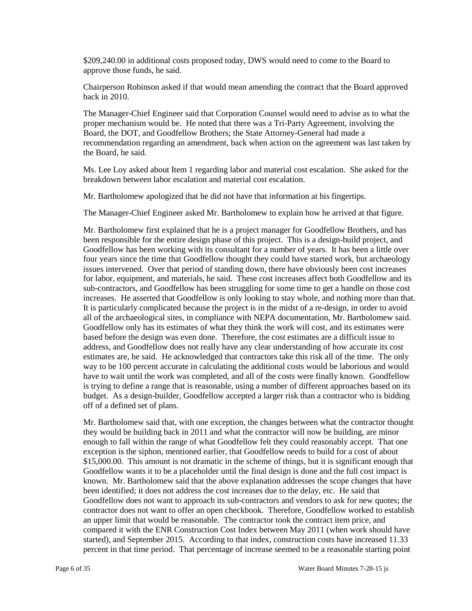\$209,240.00 in additional costs proposed today, DWS would need to come to the Board to approve those funds, he said.

Chairperson Robinson asked if that would mean amending the contract that the Board approved back in 2010.

 The Manager-Chief Engineer said that Corporation Counsel would need to advise as to what the recommendation regarding an amendment, back when action on the agreement was last taken by the Board, he said. proper mechanism would be. He noted that there was a Tri-Party Agreement, involving the Board, the DOT, and Goodfellow Brothers; the State Attorney-General had made a

Ms. Lee Loy asked about Item 1 regarding labor and material cost escalation. She asked for the breakdown between labor escalation and material cost escalation.

Mr. Bartholomew apologized that he did not have that information at his fingertips.

The Manager-Chief Engineer asked Mr. Bartholomew to explain how he arrived at that figure.

 been responsible for the entire design phase of this project. This is a design-build project, and Goodfellow has been working with its consultant for a number of years. It has been a little over four years since the time that Goodfellow thought they could have started work, but archaeology issues intervened. Over that period of standing down, there have obviously been cost increases for labor, equipment, and materials, he said. These cost increases affect both Goodfellow and its sub-contractors, and Goodfellow has been struggling for some time to get a handle on those cost increases. He asserted that Goodfellow is only looking to stay whole, and nothing more than that. all of the archaeological sites, in compliance with NEPA documentation, Mr. Bartholomew said. based before the design was even done. Therefore, the cost estimates are a difficult issue to estimates are, he said. He acknowledged that contractors take this risk all of the time. The only Mr. Bartholomew first explained that he is a project manager for Goodfellow Brothers, and has It is particularly complicated because the project is in the midst of a re-design, in order to avoid Goodfellow only has its estimates of what they think the work will cost, and its estimates were address, and Goodfellow does not really have any clear understanding of how accurate its cost way to be 100 percent accurate in calculating the additional costs would be laborious and would have to wait until the work was completed, and all of the costs were finally known. Goodfellow is trying to define a range that is reasonable, using a number of different approaches based on its budget. As a design-builder, Goodfellow accepted a larger risk than a contractor who is bidding off of a defined set of plans.

 Mr. Bartholomew said that, with one exception, the changes between what the contractor thought they would be building back in 2011 and what the contractor will now be building, are minor Goodfellow wants it to be a placeholder until the final design is done and the full cost impact is been identified; it does not address the cost increases due to the delay, etc. He said that Goodfellow does not want to approach its sub-contractors and vendors to ask for new quotes; the percent in that time period. That percentage of increase seemed to be a reasonable starting point enough to fall within the range of what Goodfellow felt they could reasonably accept. That one exception is the siphon, mentioned earlier, that Goodfellow needs to build for a cost of about \$15,000.00. This amount is not dramatic in the scheme of things, but it is significant enough that known. Mr. Bartholomew said that the above explanation addresses the scope changes that have contractor does not want to offer an open checkbook. Therefore, Goodfellow worked to establish an upper limit that would be reasonable. The contractor took the contract item price, and compared it with the ENR Construction Cost Index between May 2011 (when work should have started), and September 2015. According to that index, construction costs have increased 11.33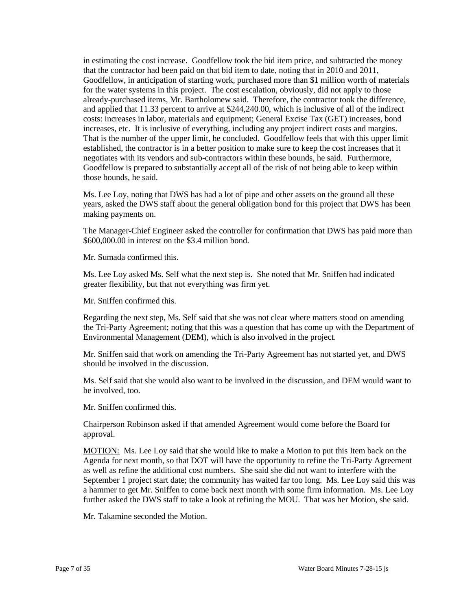already-purchased items, Mr. Bartholomew said. Therefore, the contractor took the difference, and applied that 11.33 percent to arrive at \$244,240.00, which is inclusive of all of the indirect costs: increases in labor, materials and equipment; General Excise Tax (GET) increases, bond That is the number of the upper limit, he concluded. Goodfellow feels that with this upper limit those bounds, he said. in estimating the cost increase. Goodfellow took the bid item price, and subtracted the money that the contractor had been paid on that bid item to date, noting that in 2010 and 2011, Goodfellow, in anticipation of starting work, purchased more than \$1 million worth of materials for the water systems in this project. The cost escalation, obviously, did not apply to those increases, etc. It is inclusive of everything, including any project indirect costs and margins. established, the contractor is in a better position to make sure to keep the cost increases that it negotiates with its vendors and sub-contractors within these bounds, he said. Furthermore, Goodfellow is prepared to substantially accept all of the risk of not being able to keep within

 years, asked the DWS staff about the general obligation bond for this project that DWS has been Ms. Lee Loy, noting that DWS has had a lot of pipe and other assets on the ground all these making payments on.

 The Manager-Chief Engineer asked the controller for confirmation that DWS has paid more than \$600,000.00 in interest on the \$3.4 million bond.

Mr. Sumada confirmed this.

Ms. Lee Loy asked Ms. Self what the next step is. She noted that Mr. Sniffen had indicated greater flexibility, but that not everything was firm yet.

Mr. Sniffen confirmed this.

 the Tri-Party Agreement; noting that this was a question that has come up with the Department of Regarding the next step, Ms. Self said that she was not clear where matters stood on amending Environmental Management (DEM), which is also involved in the project.

Mr. Sniffen said that work on amending the Tri-Party Agreement has not started yet, and DWS should be involved in the discussion.

 Ms. Self said that she would also want to be involved in the discussion, and DEM would want to be involved, too.

Mr. Sniffen confirmed this.

Chairperson Robinson asked if that amended Agreement would come before the Board for approval.

MOTION: Ms. Lee Loy said that she would like to make a Motion to put this Item back on the September 1 project start date; the community has waited far too long. Ms. Lee Loy said this was further asked the DWS staff to take a look at refining the MOU. That was her Motion, she said. Agenda for next month, so that DOT will have the opportunity to refine the Tri-Party Agreement as well as refine the additional cost numbers. She said she did not want to interfere with the a hammer to get Mr. Sniffen to come back next month with some firm information. Ms. Lee Loy

Mr. Takamine seconded the Motion.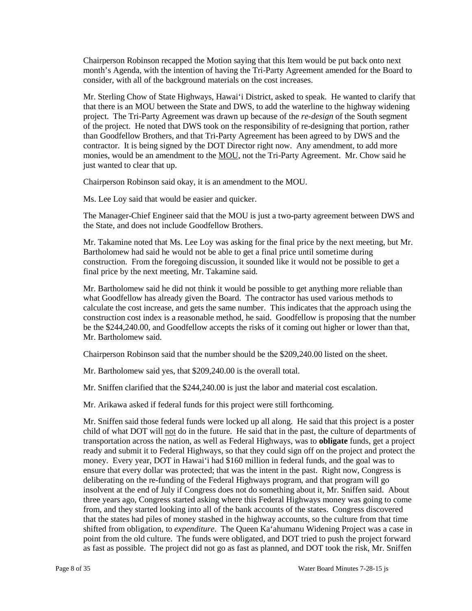month's Agenda, with the intention of having the Tri-Party Agreement amended for the Board to Chairperson Robinson recapped the Motion saying that this Item would be put back onto next consider, with all of the background materials on the cost increases.

 that there is an MOU between the State and DWS, to add the waterline to the highway widening of the project. He noted that DWS took on the responsibility of re-designing that portion, rather monies, would be an amendment to the MOU*,* not the Tri-Party Agreement. Mr. Chow said he Mr. Sterling Chow of State Highways, Hawai'i District, asked to speak. He wanted to clarify that project. The Tri-Party Agreement was drawn up because of the *re-design* of the South segment than Goodfellow Brothers, and that Tri-Party Agreement has been agreed to by DWS and the contractor. It is being signed by the DOT Director right now. Any amendment, to add more just wanted to clear that up.

Chairperson Robinson said okay, it is an amendment to the MOU.

Ms. Lee Loy said that would be easier and quicker.

 The Manager-Chief Engineer said that the MOU is just a two-party agreement between DWS and the State, and does not include Goodfellow Brothers.

 Bartholomew had said he would not be able to get a final price until sometime during construction. From the foregoing discussion, it sounded like it would not be possible to get a Mr. Takamine noted that Ms. Lee Loy was asking for the final price by the next meeting, but Mr. final price by the next meeting, Mr. Takamine said.

 calculate the cost increase, and gets the same number. This indicates that the approach using the construction cost index is a reasonable method, he said. Goodfellow is proposing that the number Mr. Bartholomew said he did not think it would be possible to get anything more reliable than what Goodfellow has already given the Board. The contractor has used various methods to be the \$244,240.00, and Goodfellow accepts the risks of it coming out higher or lower than that, Mr. Bartholomew said.

Chairperson Robinson said that the number should be the \$209,240.00 listed on the sheet.

Mr. Bartholomew said yes, that \$209,240.00 is the overall total.

Mr. Sniffen clarified that the \$244,240.00 is just the labor and material cost escalation.

Mr. Arikawa asked if federal funds for this project were still forthcoming.

 ready and submit it to Federal Highways, so that they could sign off on the project and protect the money. Every year, DOT in Hawai'i had \$160 million in federal funds, and the goal was to ensure that every dollar was protected; that was the intent in the past. Right now, Congress is insolvent at the end of July if Congress does not do something about it, Mr. Sniffen said. About Mr. Sniffen said those federal funds were locked up all along. He said that this project is a poster child of what DOT will not do in the future. He said that in the past, the culture of departments of transportation across the nation, as well as Federal Highways, was to **obligate** funds, get a project deliberating on the re-funding of the Federal Highways program, and that program will go three years ago, Congress started asking where this Federal Highways money was going to come from, and they started looking into all of the bank accounts of the states. Congress discovered that the states had piles of money stashed in the highway accounts, so the culture from that time shifted from obligation, to *expenditure*. The Queen Ka'ahumanu Widening Project was a case in point from the old culture. The funds were obligated, and DOT tried to push the project forward as fast as possible. The project did not go as fast as planned, and DOT took the risk, Mr. Sniffen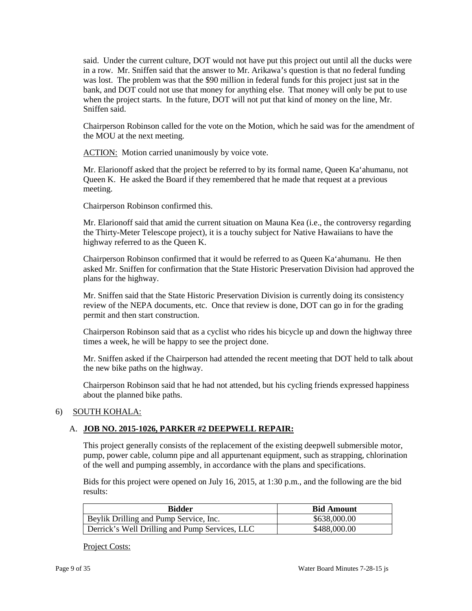said. Under the current culture, DOT would not have put this project out until all the ducks were in a row. Mr. Sniffen said that the answer to Mr. Arikawa's question is that no federal funding was lost. The problem was that the \$90 million in federal funds for this project just sat in the bank, and DOT could not use that money for anything else. That money will only be put to use when the project starts. In the future, DOT will not put that kind of money on the line, Mr. Sniffen said.

Chairperson Robinson called for the vote on the Motion, which he said was for the amendment of the MOU at the next meeting.

ACTION: Motion carried unanimously by voice vote.

 Mr. Elarionoff asked that the project be referred to by its formal name, Queen Ka'ahumanu, not Queen K. He asked the Board if they remembered that he made that request at a previous meeting.

Chairperson Robinson confirmed this.

 Mr. Elarionoff said that amid the current situation on Mauna Kea (i.e., the controversy regarding the Thirty-Meter Telescope project), it is a touchy subject for Native Hawaiians to have the highway referred to as the Queen K.

Chairperson Robinson confirmed that it would be referred to as Queen Ka'ahumanu. He then asked Mr. Sniffen for confirmation that the State Historic Preservation Division had approved the plans for the highway.

 Mr. Sniffen said that the State Historic Preservation Division is currently doing its consistency review of the NEPA documents, etc. Once that review is done, DOT can go in for the grading permit and then start construction.

Chairperson Robinson said that as a cyclist who rides his bicycle up and down the highway three times a week, he will be happy to see the project done.

Mr. Sniffen asked if the Chairperson had attended the recent meeting that DOT held to talk about the new bike paths on the highway.

Chairperson Robinson said that he had not attended, but his cycling friends expressed happiness about the planned bike paths.

# 6) SOUTH KOHALA:

# A. **JOB NO. 2015-1026, PARKER #2 DEEPWELL REPAIR:**

This project generally consists of the replacement of the existing deepwell submersible motor, pump, power cable, column pipe and all appurtenant equipment, such as strapping, chlorination of the well and pumping assembly, in accordance with the plans and specifications.

Bids for this project were opened on July 16, 2015, at 1:30 p.m., and the following are the bid results:

| Bidder                                         | <b>Bid Amount</b> |
|------------------------------------------------|-------------------|
| Beylik Drilling and Pump Service, Inc.         | \$638,000.00      |
| Derrick's Well Drilling and Pump Services, LLC | \$488,000.00      |

Project Costs: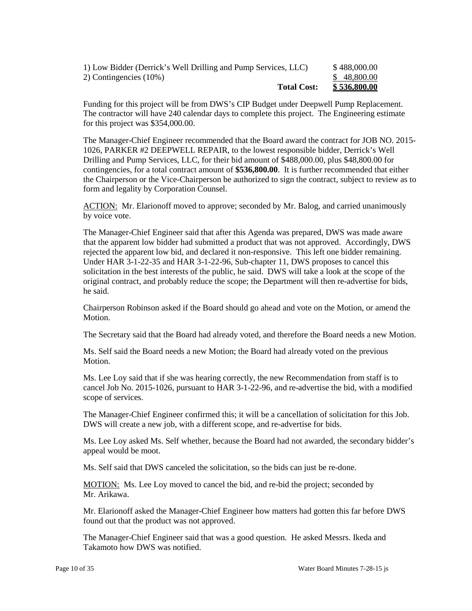| 1) Low Bidder (Derrick's Well Drilling and Pump Services, LLC) | \$488,000.00 |
|----------------------------------------------------------------|--------------|
| 2) Contingencies (10%)                                         | \$48,800.00  |
| <b>Total Cost:</b>                                             | \$536,800.00 |

 The contractor will have 240 calendar days to complete this project. The Engineering estimate Funding for this project will be from DWS's CIP Budget under Deepwell Pump Replacement. for this project was \$354,000.00.

 Drilling and Pump Services, LLC, for their bid amount of \$488,000.00, plus \$48,800.00 for contingencies, for a total contract amount of **\$536,800.00**. It is further recommended that either the Chairperson or the Vice-Chairperson be authorized to sign the contract, subject to review as to The Manager-Chief Engineer recommended that the Board award the contract for JOB NO. 2015 1026, PARKER #2 DEEPWELL REPAIR, to the lowest responsible bidder, Derrick's Well form and legality by Corporation Counsel.

ACTION: Mr. Elarionoff moved to approve; seconded by Mr. Balog, and carried unanimously by voice vote.

 rejected the apparent low bid, and declared it non-responsive. This left one bidder remaining. Under HAR 3-1-22-35 and HAR 3-1-22-96, Sub-chapter 11, DWS proposes to cancel this solicitation in the best interests of the public, he said. DWS will take a look at the scope of the The Manager-Chief Engineer said that after this Agenda was prepared, DWS was made aware that the apparent low bidder had submitted a product that was not approved. Accordingly, DWS original contract, and probably reduce the scope; the Department will then re-advertise for bids, he said.

Chairperson Robinson asked if the Board should go ahead and vote on the Motion, or amend the Motion.

The Secretary said that the Board had already voted, and therefore the Board needs a new Motion.

Ms. Self said the Board needs a new Motion; the Board had already voted on the previous Motion.

 Ms. Lee Loy said that if she was hearing correctly, the new Recommendation from staff is to cancel Job No. 2015-1026, pursuant to HAR 3-1-22-96, and re-advertise the bid, with a modified scope of services.

 The Manager-Chief Engineer confirmed this; it will be a cancellation of solicitation for this Job. DWS will create a new job, with a different scope, and re-advertise for bids.

 Ms. Lee Loy asked Ms. Self whether, because the Board had not awarded, the secondary bidder's appeal would be moot.

Ms. Self said that DWS canceled the solicitation, so the bids can just be re-done.

MOTION: Ms. Lee Loy moved to cancel the bid, and re-bid the project; seconded by Mr. Arikawa.

 Mr. Elarionoff asked the Manager-Chief Engineer how matters had gotten this far before DWS found out that the product was not approved.

The Manager-Chief Engineer said that was a good question. He asked Messrs. Ikeda and Takamoto how DWS was notified.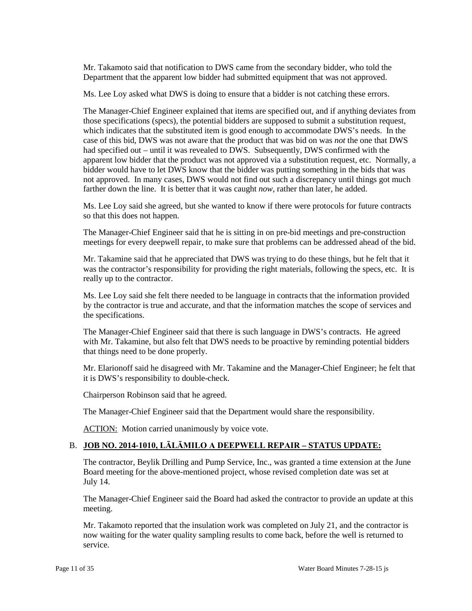Department that the apparent low bidder had submitted equipment that was not approved. Mr. Takamoto said that notification to DWS came from the secondary bidder, who told the

Ms. Lee Loy asked what DWS is doing to ensure that a bidder is not catching these errors.

 The Manager-Chief Engineer explained that items are specified out, and if anything deviates from case of this bid, DWS was not aware that the product that was bid on was *not* the one that DWS had specified out – until it was revealed to DWS. Subsequently, DWS confirmed with the bidder would have to let DWS know that the bidder was putting something in the bids that was farther down the line. It is better that it was caught *now*, rather than later, he added. those specifications (specs), the potential bidders are supposed to submit a substitution request, which indicates that the substituted item is good enough to accommodate DWS's needs. In the apparent low bidder that the product was not approved via a substitution request, etc. Normally, a not approved. In many cases, DWS would not find out such a discrepancy until things got much

 Ms. Lee Loy said she agreed, but she wanted to know if there were protocols for future contracts so that this does not happen.

 The Manager-Chief Engineer said that he is sitting in on pre-bid meetings and pre-construction meetings for every deepwell repair, to make sure that problems can be addressed ahead of the bid.

 Mr. Takamine said that he appreciated that DWS was trying to do these things, but he felt that it was the contractor's responsibility for providing the right materials, following the specs, etc. It is really up to the contractor.

 Ms. Lee Loy said she felt there needed to be language in contracts that the information provided by the contractor is true and accurate, and that the information matches the scope of services and the specifications.

 The Manager-Chief Engineer said that there is such language in DWS's contracts. He agreed that things need to be done properly. with Mr. Takamine, but also felt that DWS needs to be proactive by reminding potential bidders

 it is DWS's responsibility to double-check. Mr. Elarionoff said he disagreed with Mr. Takamine and the Manager-Chief Engineer; he felt that

Chairperson Robinson said that he agreed.

The Manager-Chief Engineer said that the Department would share the responsibility.

**ACTION:** Motion carried unanimously by voice vote.

# B. **JOB NO. 2014-1010, LĀLĀMILO A DEEPWELL REPAIR – STATUS UPDATE:**

The contractor, Beylik Drilling and Pump Service, Inc., was granted a time extension at the June Board meeting for the above-mentioned project, whose revised completion date was set at July 14.

The Manager-Chief Engineer said the Board had asked the contractor to provide an update at this meeting.

Mr. Takamoto reported that the insulation work was completed on July 21, and the contractor is now waiting for the water quality sampling results to come back, before the well is returned to service.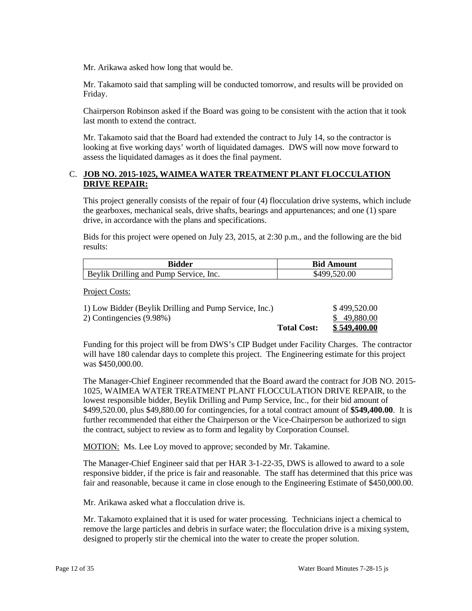Mr. Arikawa asked how long that would be.

Mr. Takamoto said that sampling will be conducted tomorrow, and results will be provided on Friday.

 Chairperson Robinson asked if the Board was going to be consistent with the action that it took last month to extend the contract.

 Mr. Takamoto said that the Board had extended the contract to July 14, so the contractor is looking at five working days' worth of liquidated damages. DWS will now move forward to assess the liquidated damages as it does the final payment.

## C. **JOB NO. 2015-1025, WAIMEA WATER TREATMENT PLANT FLOCCULATION DRIVE REPAIR:**

 This project generally consists of the repair of four (4) flocculation drive systems, which include the gearboxes, mechanical seals, drive shafts, bearings and appurtenances; and one (1) spare drive, in accordance with the plans and specifications.

Bids for this project were opened on July 23, 2015, at 2:30 p.m., and the following are the bid results:

| Bidder                                        | <b>Bid Amount</b> |
|-----------------------------------------------|-------------------|
| <b>Beylik Drilling and Pump Service, Inc.</b> | \$499,520.00      |

Project Costs:

| 2) Contingencies (9.98%) |                    | \$49,880.00  |
|--------------------------|--------------------|--------------|
|                          | <b>Total Cost:</b> | \$549,400.00 |

Funding for this project will be from DWS's CIP Budget under Facility Charges. The contractor will have 180 calendar days to complete this project. The Engineering estimate for this project was \$450,000.00.

The Manager-Chief Engineer recommended that the Board award the contract for JOB NO. 2015 1025, WAIMEA WATER TREATMENT PLANT FLOCCULATION DRIVE REPAIR, to the lowest responsible bidder, Beylik Drilling and Pump Service, Inc., for their bid amount of \$499,520.00, plus \$49,880.00 for contingencies, for a total contract amount of **\$549,400.00**. It is further recommended that either the Chairperson or the Vice-Chairperson be authorized to sign the contract, subject to review as to form and legality by Corporation Counsel.

MOTION: Ms. Lee Loy moved to approve; seconded by Mr. Takamine.

 responsive bidder, if the price is fair and reasonable. The staff has determined that this price was The Manager-Chief Engineer said that per HAR 3-1-22-35, DWS is allowed to award to a sole fair and reasonable, because it came in close enough to the Engineering Estimate of \$450,000.00.

Mr. Arikawa asked what a flocculation drive is.

 Mr. Takamoto explained that it is used for water processing. Technicians inject a chemical to designed to properly stir the chemical into the water to create the proper solution. remove the large particles and debris in surface water; the flocculation drive is a mixing system,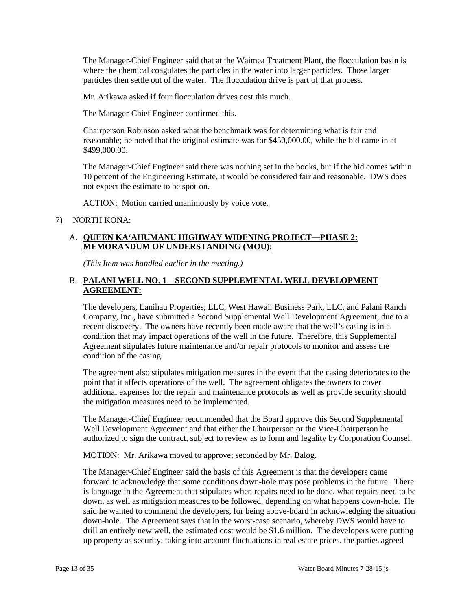where the chemical coagulates the particles in the water into larger particles. Those larger particles then settle out of the water. The flocculation drive is part of that process. The Manager-Chief Engineer said that at the Waimea Treatment Plant, the flocculation basin is

Mr. Arikawa asked if four flocculation drives cost this much.

The Manager-Chief Engineer confirmed this.

 Chairperson Robinson asked what the benchmark was for determining what is fair and reasonable; he noted that the original estimate was for \$450,000.00, while the bid came in at \$499,000.00.

 10 percent of the Engineering Estimate, it would be considered fair and reasonable. DWS does The Manager-Chief Engineer said there was nothing set in the books, but if the bid comes within not expect the estimate to be spot-on.

ACTION: Motion carried unanimously by voice vote.

### 7) NORTH KONA:

# A. **QUEEN KA'AHUMANU HIGHWAY WIDENING PROJECT—PHASE 2: MEMORANDUM OF UNDERSTANDING (MOU):**

*(This Item was handled earlier in the meeting.)* 

# B. **PALANI WELL NO. 1 – SECOND SUPPLEMENTAL WELL DEVELOPMENT AGREEMENT:**

 recent discovery. The owners have recently been made aware that the well's casing is in a Agreement stipulates future maintenance and/or repair protocols to monitor and assess the condition of the casing. The developers, Lanihau Properties, LLC, West Hawaii Business Park, LLC, and Palani Ranch Company, Inc., have submitted a Second Supplemental Well Development Agreement, due to a condition that may impact operations of the well in the future. Therefore, this Supplemental

 point that it affects operations of the well. The agreement obligates the owners to cover The agreement also stipulates mitigation measures in the event that the casing deteriorates to the additional expenses for the repair and maintenance protocols as well as provide security should the mitigation measures need to be implemented.

The Manager-Chief Engineer recommended that the Board approve this Second Supplemental Well Development Agreement and that either the Chairperson or the Vice-Chairperson be authorized to sign the contract, subject to review as to form and legality by Corporation Counsel.

MOTION: Mr. Arikawa moved to approve; seconded by Mr. Balog.

 down-hole. The Agreement says that in the worst-case scenario, whereby DWS would have to The Manager-Chief Engineer said the basis of this Agreement is that the developers came forward to acknowledge that some conditions down-hole may pose problems in the future. There is language in the Agreement that stipulates when repairs need to be done, what repairs need to be down, as well as mitigation measures to be followed, depending on what happens down-hole. He said he wanted to commend the developers, for being above-board in acknowledging the situation drill an entirely new well, the estimated cost would be \$1.6 million. The developers were putting up property as security; taking into account fluctuations in real estate prices, the parties agreed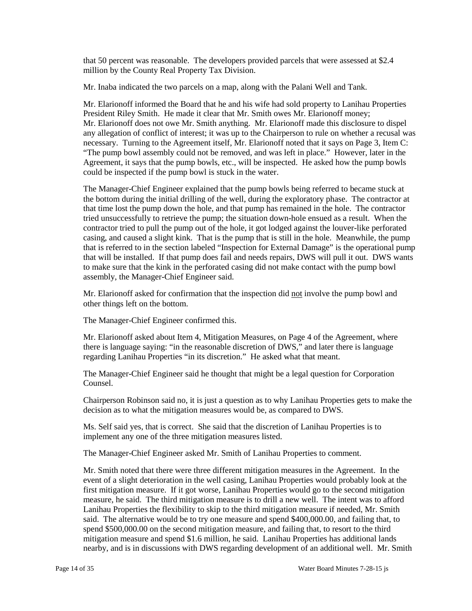that 50 percent was reasonable. The developers provided parcels that were assessed at \$2.4 million by the County Real Property Tax Division.

Mr. Inaba indicated the two parcels on a map, along with the Palani Well and Tank.

 Mr. Elarionoff does not owe Mr. Smith anything. Mr. Elarionoff made this disclosure to dispel any allegation of conflict of interest; it was up to the Chairperson to rule on whether a recusal was Agreement, it says that the pump bowls, etc., will be inspected. He asked how the pump bowls Mr. Elarionoff informed the Board that he and his wife had sold property to Lanihau Properties President Riley Smith. He made it clear that Mr. Smith owes Mr. Elarionoff money; necessary. Turning to the Agreement itself, Mr. Elarionoff noted that it says on Page 3, Item C: "The pump bowl assembly could not be removed, and was left in place." However, later in the could be inspected if the pump bowl is stuck in the water.

 the bottom during the initial drilling of the well, during the exploratory phase. The contractor at that time lost the pump down the hole, and that pump has remained in the hole. The contractor tried unsuccessfully to retrieve the pump; the situation down-hole ensued as a result. When the contractor tried to pull the pump out of the hole, it got lodged against the louver-like perforated casing, and caused a slight kink. That is the pump that is still in the hole. Meanwhile, the pump The Manager-Chief Engineer explained that the pump bowls being referred to became stuck at that is referred to in the section labeled "Inspection for External Damage" is the operational pump that will be installed. If that pump does fail and needs repairs, DWS will pull it out. DWS wants to make sure that the kink in the perforated casing did not make contact with the pump bowl assembly, the Manager-Chief Engineer said.

Mr. Elarionoff asked for confirmation that the inspection did not involve the pump bowl and other things left on the bottom.

The Manager-Chief Engineer confirmed this.

 Mr. Elarionoff asked about Item 4, Mitigation Measures, on Page 4 of the Agreement, where there is language saying: "in the reasonable discretion of DWS," and later there is language regarding Lanihau Properties "in its discretion." He asked what that meant.

The Manager-Chief Engineer said he thought that might be a legal question for Corporation Counsel.

 Chairperson Robinson said no, it is just a question as to why Lanihau Properties gets to make the decision as to what the mitigation measures would be, as compared to DWS.

Ms. Self said yes, that is correct. She said that the discretion of Lanihau Properties is to implement any one of the three mitigation measures listed.

The Manager-Chief Engineer asked Mr. Smith of Lanihau Properties to comment.

 Mr. Smith noted that there were three different mitigation measures in the Agreement. In the measure, he said. The third mitigation measure is to drill a new well. The intent was to afford Lanihau Properties the flexibility to skip to the third mitigation measure if needed, Mr. Smith mitigation measure and spend \$1.6 million, he said. Lanihau Properties has additional lands event of a slight deterioration in the well casing, Lanihau Properties would probably look at the first mitigation measure. If it got worse, Lanihau Properties would go to the second mitigation said. The alternative would be to try one measure and spend \$400,000.00, and failing that, to spend \$500,000.00 on the second mitigation measure, and failing that, to resort to the third nearby, and is in discussions with DWS regarding development of an additional well. Mr. Smith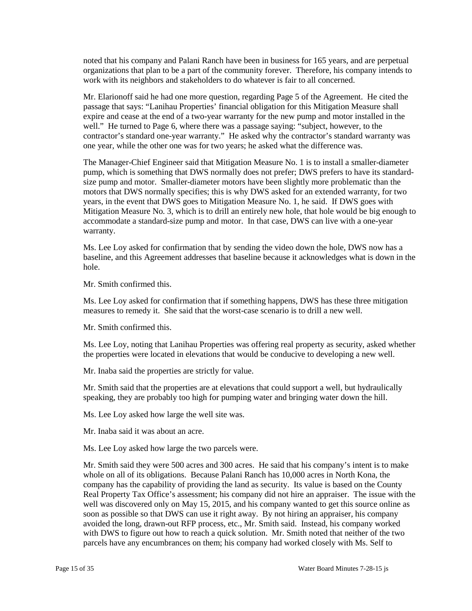organizations that plan to be a part of the community forever. Therefore, his company intends to noted that his company and Palani Ranch have been in business for 165 years, and are perpetual work with its neighbors and stakeholders to do whatever is fair to all concerned.

 Mr. Elarionoff said he had one more question, regarding Page 5 of the Agreement. He cited the passage that says: "Lanihau Properties' financial obligation for this Mitigation Measure shall expire and cease at the end of a two-year warranty for the new pump and motor installed in the well." He turned to Page 6, where there was a passage saying: "subject, however, to the contractor's standard one-year warranty." He asked why the contractor's standard warranty was one year, while the other one was for two years; he asked what the difference was.

 The Manager-Chief Engineer said that Mitigation Measure No. 1 is to install a smaller-diameter motors that DWS normally specifies; this is why DWS asked for an extended warranty, for two pump, which is something that DWS normally does not prefer; DWS prefers to have its standardsize pump and motor. Smaller-diameter motors have been slightly more problematic than the years, in the event that DWS goes to Mitigation Measure No. 1, he said. If DWS goes with Mitigation Measure No. 3, which is to drill an entirely new hole, that hole would be big enough to accommodate a standard-size pump and motor. In that case, DWS can live with a one-year warranty.

 baseline, and this Agreement addresses that baseline because it acknowledges what is down in the Ms. Lee Loy asked for confirmation that by sending the video down the hole, DWS now has a hole.

Mr. Smith confirmed this.

 Ms. Lee Loy asked for confirmation that if something happens, DWS has these three mitigation measures to remedy it. She said that the worst-case scenario is to drill a new well.

Mr. Smith confirmed this.

 the properties were located in elevations that would be conducive to developing a new well. Ms. Lee Loy, noting that Lanihau Properties was offering real property as security, asked whether

Mr. Inaba said the properties are strictly for value.

Mr. Smith said that the properties are at elevations that could support a well, but hydraulically speaking, they are probably too high for pumping water and bringing water down the hill.

Ms. Lee Loy asked how large the well site was.

Mr. Inaba said it was about an acre.

Ms. Lee Loy asked how large the two parcels were.

 company has the capability of providing the land as security. Its value is based on the County Real Property Tax Office's assessment; his company did not hire an appraiser. The issue with the well was discovered only on May 15, 2015, and his company wanted to get this source online as soon as possible so that DWS can use it right away. By not hiring an appraiser, his company with DWS to figure out how to reach a quick solution. Mr. Smith noted that neither of the two Mr. Smith said they were 500 acres and 300 acres. He said that his company's intent is to make whole on all of its obligations. Because Palani Ranch has 10,000 acres in North Kona, the avoided the long, drawn-out RFP process, etc., Mr. Smith said. Instead, his company worked parcels have any encumbrances on them; his company had worked closely with Ms. Self to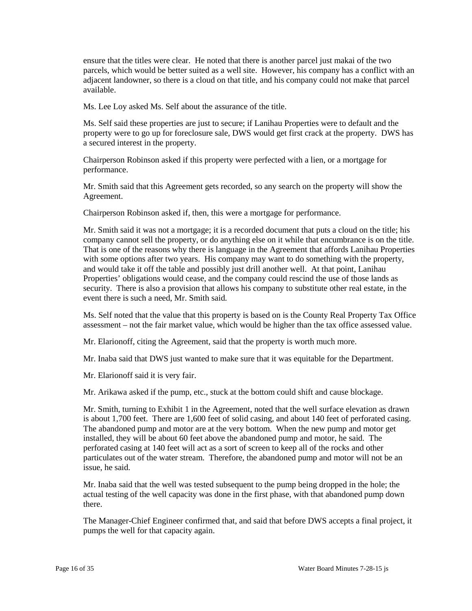ensure that the titles were clear. He noted that there is another parcel just makai of the two adjacent landowner, so there is a cloud on that title, and his company could not make that parcel parcels, which would be better suited as a well site. However, his company has a conflict with an available.

Ms. Lee Loy asked Ms. Self about the assurance of the title.

 Ms. Self said these properties are just to secure; if Lanihau Properties were to default and the property were to go up for foreclosure sale, DWS would get first crack at the property. DWS has a secured interest in the property.

Chairperson Robinson asked if this property were perfected with a lien, or a mortgage for performance.

 Mr. Smith said that this Agreement gets recorded, so any search on the property will show the Agreement.

Chairperson Robinson asked if, then, this were a mortgage for performance.

 Mr. Smith said it was not a mortgage; it is a recorded document that puts a cloud on the title; his That is one of the reasons why there is language in the Agreement that affords Lanihau Properties and would take it off the table and possibly just drill another well. At that point, Lanihau Properties' obligations would cease, and the company could rescind the use of those lands as security. There is also a provision that allows his company to substitute other real estate, in the event there is such a need, Mr. Smith said. company cannot sell the property, or do anything else on it while that encumbrance is on the title. with some options after two years. His company may want to do something with the property,

 Ms. Self noted that the value that this property is based on is the County Real Property Tax Office assessment – not the fair market value, which would be higher than the tax office assessed value.

Mr. Elarionoff, citing the Agreement, said that the property is worth much more.

Mr. Elarionoff, citing the Agreement, said that the property is worth much more. Mr. Inaba said that DWS just wanted to make sure that it was equitable for the Department.

Mr. Elarionoff said it is very fair.

Mr. Arikawa asked if the pump, etc., stuck at the bottom could shift and cause blockage.

 The abandoned pump and motor are at the very bottom. When the new pump and motor get installed, they will be about 60 feet above the abandoned pump and motor, he said. The perforated casing at 140 feet will act as a sort of screen to keep all of the rocks and other Mr. Smith, turning to Exhibit 1 in the Agreement, noted that the well surface elevation as drawn is about 1,700 feet. There are 1,600 feet of solid casing, and about 140 feet of perforated casing. particulates out of the water stream. Therefore, the abandoned pump and motor will not be an issue, he said.

 Mr. Inaba said that the well was tested subsequent to the pump being dropped in the hole; the actual testing of the well capacity was done in the first phase, with that abandoned pump down there.

 The Manager-Chief Engineer confirmed that, and said that before DWS accepts a final project, it pumps the well for that capacity again.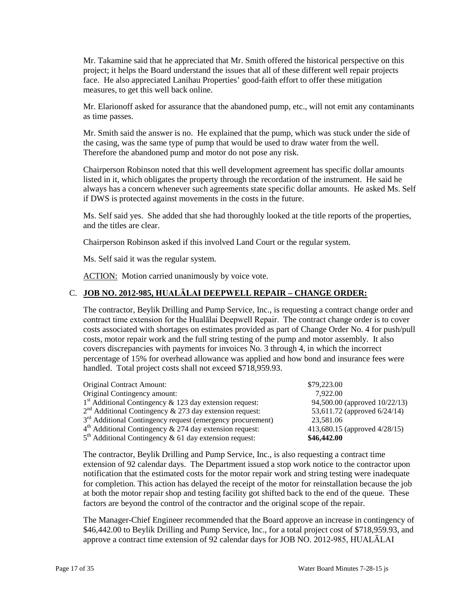Mr. Takamine said that he appreciated that Mr. Smith offered the historical perspective on this project; it helps the Board understand the issues that all of these different well repair projects face. He also appreciated Lanihau Properties' good-faith effort to offer these mitigation measures, to get this well back online.

Mr. Elarionoff asked for assurance that the abandoned pump, etc., will not emit any contaminants as time passes.

 Mr. Smith said the answer is no. He explained that the pump, which was stuck under the side of the casing, was the same type of pump that would be used to draw water from the well. Therefore the abandoned pump and motor do not pose any risk.

 listed in it, which obligates the property through the recordation of the instrument. He said he Chairperson Robinson noted that this well development agreement has specific dollar amounts always has a concern whenever such agreements state specific dollar amounts. He asked Ms. Self if DWS is protected against movements in the costs in the future.

Ms. Self said yes. She added that she had thoroughly looked at the title reports of the properties, and the titles are clear.

Chairperson Robinson asked if this involved Land Court or the regular system.

Ms. Self said it was the regular system.

ACTION: Motion carried unanimously by voice vote.

### C. **JOB NO. 2012-985, HUALĀLAI DEEPWELL REPAIR – CHANGE ORDER:**

 contract time extension for the Hualālai Deepwell Repair. The contract change order is to cover costs associated with shortages on estimates provided as part of Change Order No. 4 for push/pull covers discrepancies with payments for invoices No. 3 through 4, in which the incorrect The contractor, Beylik Drilling and Pump Service, Inc., is requesting a contract change order and costs, motor repair work and the full string testing of the pump and motor assembly. It also percentage of 15% for overhead allowance was applied and how bond and insurance fees were handled. Total project costs shall not exceed \$718,959.93.

| Original Contract Amount:                                              | \$79,223.00                   |
|------------------------------------------------------------------------|-------------------------------|
| Original Contingency amount:                                           | 7.922.00                      |
| $1st$ Additional Contingency & 123 day extension request:              | 94,500.00 (approved 10/22/13) |
| $2nd$ Additional Contingency & 273 day extension request:              | 53,611.72 (approved 6/24/14)  |
| 3 <sup>rd</sup> Additional Contingency request (emergency procurement) | 23,581.06                     |
| $4th$ Additional Contingency & 274 day extension request:              | 413,680.15 (approved 4/28/15) |
| $5th$ Additional Contingency & 61 day extension request:               | \$46,442.00                   |

 extension of 92 calendar days. The Department issued a stop work notice to the contractor upon notification that the estimated costs for the motor repair work and string testing were inadequate for completion. This action has delayed the receipt of the motor for reinstallation because the job at both the motor repair shop and testing facility got shifted back to the end of the queue. These factors are beyond the control of the contractor and the original scope of the repair. The contractor, Beylik Drilling and Pump Service, Inc., is also requesting a contract time

 The Manager-Chief Engineer recommended that the Board approve an increase in contingency of \$46,442.00 to Beylik Drilling and Pump Service, Inc., for a total project cost of \$718,959.93, and approve a contract time extension of 92 calendar days for JOB NO. 2012-985, HUALĀLAI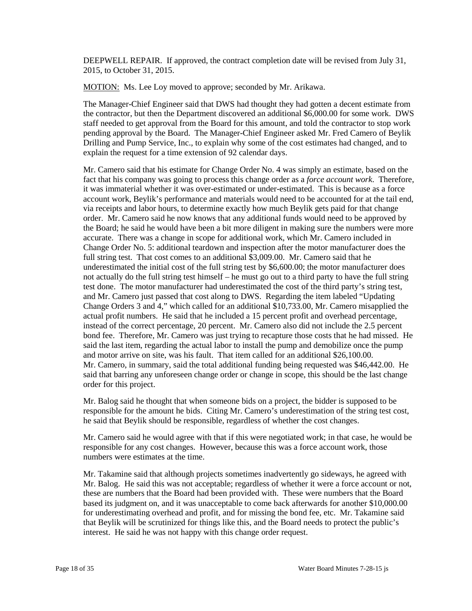2015, to October 31, 2015. DEEPWELL REPAIR. If approved, the contract completion date will be revised from July 31,

MOTION: Ms. Lee Loy moved to approve; seconded by Mr. Arikawa.

 explain the request for a time extension of 92 calendar days. The Manager-Chief Engineer said that DWS had thought they had gotten a decent estimate from the contractor, but then the Department discovered an additional \$6,000.00 for some work. DWS staff needed to get approval from the Board for this amount, and told the contractor to stop work pending approval by the Board. The Manager-Chief Engineer asked Mr. Fred Camero of Beylik Drilling and Pump Service, Inc., to explain why some of the cost estimates had changed, and to

 it was immaterial whether it was over-estimated or under-estimated. This is because as a force order. Mr. Camero said he now knows that any additional funds would need to be approved by accurate. There was a change in scope for additional work, which Mr. Camero included in Change Order No. 5: additional teardown and inspection after the motor manufacturer does the underestimated the initial cost of the full string test by \$6,600.00; the motor manufacturer does not actually do the full string test himself – he must go out to a third party to have the full string test done. The motor manufacturer had underestimated the cost of the third party's string test, and Mr. Camero just passed that cost along to DWS. Regarding the item labeled "Updating actual profit numbers. He said that he included a 15 percent profit and overhead percentage, instead of the correct percentage, 20 percent. Mr. Camero also did not include the 2.5 percent bond fee. Therefore, Mr. Camero was just trying to recapture those costs that he had missed. He said the last item, regarding the actual labor to install the pump and demobilize once the pump Mr. Camero, in summary, said the total additional funding being requested was \$46,442.00. He Mr. Camero said that his estimate for Change Order No. 4 was simply an estimate, based on the fact that his company was going to process this change order as a *force account work*. Therefore, account work, Beylik's performance and materials would need to be accounted for at the tail end, via receipts and labor hours, to determine exactly how much Beylik gets paid for that change the Board; he said he would have been a bit more diligent in making sure the numbers were more full string test. That cost comes to an additional \$3,009.00. Mr. Camero said that he Change Orders 3 and 4," which called for an additional \$10,733.00, Mr. Camero misapplied the and motor arrive on site, was his fault. That item called for an additional \$26,100.00. said that barring any unforeseen change order or change in scope, this should be the last change order for this project.

 Mr. Balog said he thought that when someone bids on a project, the bidder is supposed to be responsible for the amount he bids. Citing Mr. Camero's underestimation of the string test cost, he said that Beylik should be responsible, regardless of whether the cost changes.

 Mr. Camero said he would agree with that if this were negotiated work; in that case, he would be responsible for any cost changes. However, because this was a force account work, those numbers were estimates at the time.

 Mr. Balog. He said this was not acceptable; regardless of whether it were a force account or not, these are numbers that the Board had been provided with. These were numbers that the Board that Beylik will be scrutinized for things like this, and the Board needs to protect the public's Mr. Takamine said that although projects sometimes inadvertently go sideways, he agreed with based its judgment on, and it was unacceptable to come back afterwards for another \$10,000.00 for underestimating overhead and profit, and for missing the bond fee, etc. Mr. Takamine said interest. He said he was not happy with this change order request.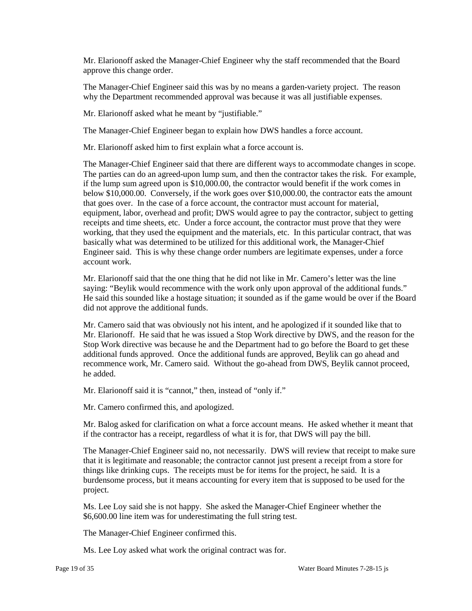Mr. Elarionoff asked the Manager-Chief Engineer why the staff recommended that the Board approve this change order.

The Manager-Chief Engineer said this was by no means a garden-variety project. The reason why the Department recommended approval was because it was all justifiable expenses.

Mr. Elarionoff asked what he meant by "justifiable."

The Manager-Chief Engineer began to explain how DWS handles a force account.

Mr. Elarionoff asked him to first explain what a force account is.

The Manager-Chief Engineer said that there are different ways to accommodate changes in scope. if the lump sum agreed upon is \$10,000.00, the contractor would benefit if the work comes in that goes over. In the case of a force account, the contractor must account for material, The parties can do an agreed-upon lump sum, and then the contractor takes the risk. For example, below \$10,000.00. Conversely, if the work goes over \$10,000.00, the contractor eats the amount equipment, labor, overhead and profit; DWS would agree to pay the contractor, subject to getting receipts and time sheets, etc. Under a force account, the contractor must prove that they were working, that they used the equipment and the materials, etc. In this particular contract, that was basically what was determined to be utilized for this additional work, the Manager-Chief Engineer said. This is why these change order numbers are legitimate expenses, under a force account work.

 Mr. Elarionoff said that the one thing that he did not like in Mr. Camero's letter was the line saying: "Beylik would recommence with the work only upon approval of the additional funds." did not approve the additional funds. He said this sounded like a hostage situation; it sounded as if the game would be over if the Board

 Mr. Elarionoff. He said that he was issued a Stop Work directive by DWS, and the reason for the additional funds approved. Once the additional funds are approved, Beylik can go ahead and Mr. Camero said that was obviously not his intent, and he apologized if it sounded like that to Stop Work directive was because he and the Department had to go before the Board to get these recommence work, Mr. Camero said. Without the go-ahead from DWS, Beylik cannot proceed, he added.

Mr. Elarionoff said it is "cannot," then, instead of "only if."

Mr. Camero confirmed this, and apologized.

Mr. Balog asked for clarification on what a force account means. He asked whether it meant that if the contractor has a receipt, regardless of what it is for, that DWS will pay the bill.

 The Manager-Chief Engineer said no, not necessarily. DWS will review that receipt to make sure that it is legitimate and reasonable; the contractor cannot just present a receipt from a store for burdensome process, but it means accounting for every item that is supposed to be used for the things like drinking cups. The receipts must be for items for the project, he said. It is a project.

 \$6,600.00 line item was for underestimating the full string test. Ms. Lee Loy said she is not happy. She asked the Manager-Chief Engineer whether the

The Manager-Chief Engineer confirmed this.

Ms. Lee Loy asked what work the original contract was for.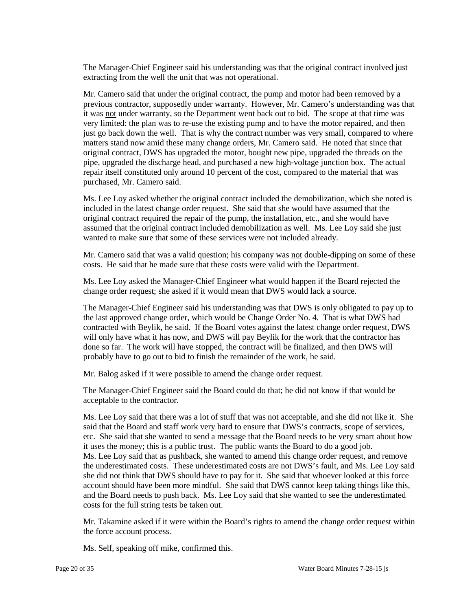The Manager-Chief Engineer said his understanding was that the original contract involved just extracting from the well the unit that was not operational.

 previous contractor, supposedly under warranty. However, Mr. Camero's understanding was that matters stand now amid these many change orders, Mr. Camero said. He noted that since that repair itself constituted only around 10 percent of the cost, compared to the material that was Mr. Camero said that under the original contract, the pump and motor had been removed by a it was not under warranty, so the Department went back out to bid. The scope at that time was very limited: the plan was to re-use the existing pump and to have the motor repaired, and then just go back down the well. That is why the contract number was very small, compared to where original contract, DWS has upgraded the motor, bought new pipe, upgraded the threads on the pipe, upgraded the discharge head, and purchased a new high-voltage junction box. The actual purchased, Mr. Camero said.

 included in the latest change order request. She said that she would have assumed that the assumed that the original contract included demobilization as well. Ms. Lee Loy said she just Ms. Lee Loy asked whether the original contract included the demobilization, which she noted is original contract required the repair of the pump, the installation, etc., and she would have wanted to make sure that some of these services were not included already.

Mr. Camero said that was a valid question; his company was not double-dipping on some of these costs. He said that he made sure that these costs were valid with the Department.

 Ms. Lee Loy asked the Manager-Chief Engineer what would happen if the Board rejected the change order request; she asked if it would mean that DWS would lack a source.

 done so far. The work will have stopped, the contract will be finalized, and then DWS will probably have to go out to bid to finish the remainder of the work, he said. The Manager-Chief Engineer said his understanding was that DWS is only obligated to pay up to the last approved change order, which would be Change Order No. 4. That is what DWS had contracted with Beylik, he said. If the Board votes against the latest change order request, DWS will only have what it has now, and DWS will pay Beylik for the work that the contractor has

Mr. Balog asked if it were possible to amend the change order request.

 The Manager-Chief Engineer said the Board could do that; he did not know if that would be acceptable to the contractor.

 Ms. Lee Loy said that there was a lot of stuff that was not acceptable, and she did not like it. She etc. She said that she wanted to send a message that the Board needs to be very smart about how it uses the money; this is a public trust. The public wants the Board to do a good job. Ms. Lee Loy said that as pushback, she wanted to amend this change order request, and remove the underestimated costs. These underestimated costs are not DWS's fault, and Ms. Lee Loy said she did not think that DWS should have to pay for it. She said that whoever looked at this force said that the Board and staff work very hard to ensure that DWS's contracts, scope of services, account should have been more mindful. She said that DWS cannot keep taking things like this, and the Board needs to push back. Ms. Lee Loy said that she wanted to see the underestimated costs for the full string tests be taken out.

 Mr. Takamine asked if it were within the Board's rights to amend the change order request within the force account process.

Ms. Self, speaking off mike, confirmed this.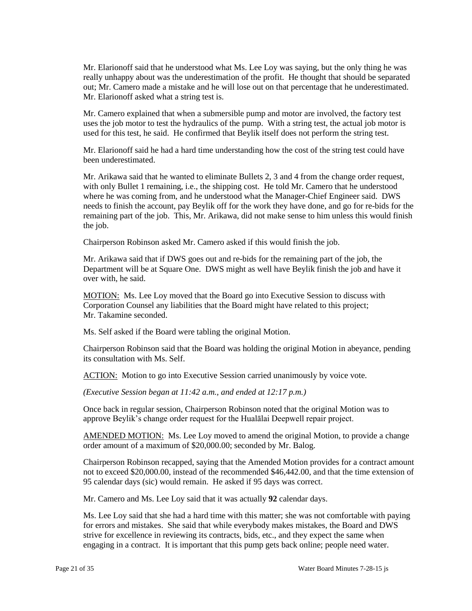Mr. Elarionoff said that he understood what Ms. Lee Loy was saying, but the only thing he was Mr. Elarionoff asked what a string test is. really unhappy about was the underestimation of the profit. He thought that should be separated out; Mr. Camero made a mistake and he will lose out on that percentage that he underestimated.

 Mr. Camero explained that when a submersible pump and motor are involved, the factory test uses the job motor to test the hydraulics of the pump. With a string test, the actual job motor is used for this test, he said. He confirmed that Beylik itself does not perform the string test.

 Mr. Elarionoff said he had a hard time understanding how the cost of the string test could have been underestimated.

 Mr. Arikawa said that he wanted to eliminate Bullets 2, 3 and 4 from the change order request, remaining part of the job. This, Mr. Arikawa, did not make sense to him unless this would finish with only Bullet 1 remaining, i.e., the shipping cost. He told Mr. Camero that he understood where he was coming from, and he understood what the Manager-Chief Engineer said. DWS needs to finish the account, pay Beylik off for the work they have done, and go for re-bids for the the job.

Chairperson Robinson asked Mr. Camero asked if this would finish the job.

 Mr. Arikawa said that if DWS goes out and re-bids for the remaining part of the job, the Department will be at Square One. DWS might as well have Beylik finish the job and have it over with, he said.

MOTION: Ms. Lee Loy moved that the Board go into Executive Session to discuss with Corporation Counsel any liabilities that the Board might have related to this project; Mr. Takamine seconded.

Ms. Self asked if the Board were tabling the original Motion.

Chairperson Robinson said that the Board was holding the original Motion in abeyance, pending its consultation with Ms. Self.

ACTION: Motion to go into Executive Session carried unanimously by voice vote.

 *(Executive Session began at 11:42 a.m., and ended at 12:17 p.m.)* 

Once back in regular session, Chairperson Robinson noted that the original Motion was to approve Beylik's change order request for the Hualālai Deepwell repair project.

AMENDED MOTION: Ms. Lee Loy moved to amend the original Motion, to provide a change order amount of a maximum of \$20,000.00; seconded by Mr. Balog.

 Chairperson Robinson recapped, saying that the Amended Motion provides for a contract amount not to exceed \$20,000.00, instead of the recommended \$46,442.00, and that the time extension of 95 calendar days (sic) would remain. He asked if 95 days was correct.

Mr. Camero and Ms. Lee Loy said that it was actually **92** calendar days.

 Ms. Lee Loy said that she had a hard time with this matter; she was not comfortable with paying strive for excellence in reviewing its contracts, bids, etc., and they expect the same when for errors and mistakes. She said that while everybody makes mistakes, the Board and DWS engaging in a contract. It is important that this pump gets back online; people need water.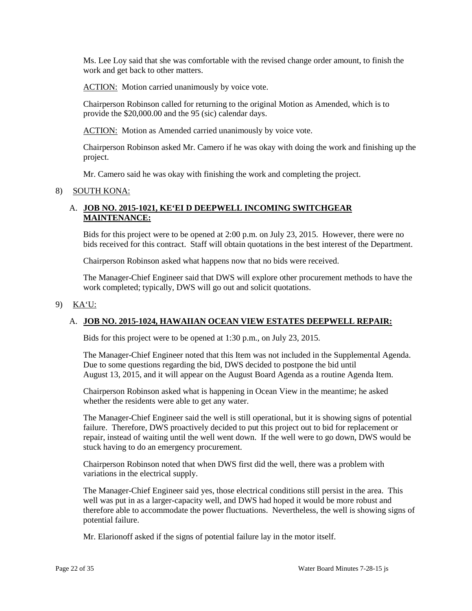Ms. Lee Loy said that she was comfortable with the revised change order amount, to finish the work and get back to other matters.

ACTION: Motion carried unanimously by voice vote.

 provide the \$20,000.00 and the 95 (sic) calendar days. Chairperson Robinson called for returning to the original Motion as Amended, which is to

ACTION: Motion as Amended carried unanimously by voice vote.

Chairperson Robinson asked Mr. Camero if he was okay with doing the work and finishing up the project.

Mr. Camero said he was okay with finishing the work and completing the project.

#### 8) SOUTH KONA:

## A. **JOB NO. 2015-1021, KE'EI D DEEPWELL INCOMING SWITCHGEAR MAINTENANCE:**

 bids received for this contract. Staff will obtain quotations in the best interest of the Department. Bids for this project were to be opened at 2:00 p.m. on July 23, 2015. However, there were no

Chairperson Robinson asked what happens now that no bids were received.

The Manager-Chief Engineer said that DWS will explore other procurement methods to have the work completed; typically, DWS will go out and solicit quotations.

#### 9) KA'U:

### A. **JOB NO. 2015-1024, HAWAIIAN OCEAN VIEW ESTATES DEEPWELL REPAIR:**

Bids for this project were to be opened at 1:30 p.m., on July 23, 2015.

 Due to some questions regarding the bid, DWS decided to postpone the bid until The Manager-Chief Engineer noted that this Item was not included in the Supplemental Agenda. August 13, 2015, and it will appear on the August Board Agenda as a routine Agenda Item.

 Chairperson Robinson asked what is happening in Ocean View in the meantime; he asked whether the residents were able to get any water.

The Manager-Chief Engineer said the well is still operational, but it is showing signs of potential failure. Therefore, DWS proactively decided to put this project out to bid for replacement or repair, instead of waiting until the well went down. If the well were to go down, DWS would be stuck having to do an emergency procurement.

Chairperson Robinson noted that when DWS first did the well, there was a problem with variations in the electrical supply.

The Manager-Chief Engineer said yes, those electrical conditions still persist in the area. This well was put in as a larger-capacity well, and DWS had hoped it would be more robust and therefore able to accommodate the power fluctuations. Nevertheless, the well is showing signs of potential failure.

Mr. Elarionoff asked if the signs of potential failure lay in the motor itself.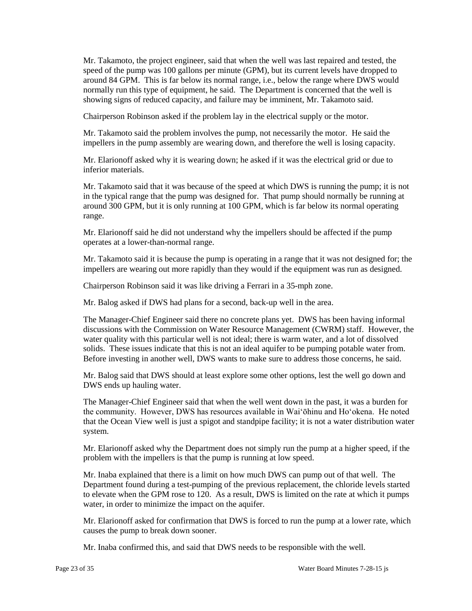Mr. Takamoto, the project engineer, said that when the well was last repaired and tested, the normally run this type of equipment, he said. The Department is concerned that the well is speed of the pump was 100 gallons per minute (GPM), but its current levels have dropped to around 84 GPM. This is far below its normal range, i.e., below the range where DWS would showing signs of reduced capacity, and failure may be imminent, Mr. Takamoto said.

Chairperson Robinson asked if the problem lay in the electrical supply or the motor.

Mr. Takamoto said the problem involves the pump, not necessarily the motor. He said the impellers in the pump assembly are wearing down, and therefore the well is losing capacity.

 Mr. Elarionoff asked why it is wearing down; he asked if it was the electrical grid or due to inferior materials.

 Mr. Takamoto said that it was because of the speed at which DWS is running the pump; it is not in the typical range that the pump was designed for. That pump should normally be running at around 300 GPM, but it is only running at 100 GPM, which is far below its normal operating range.

 Mr. Elarionoff said he did not understand why the impellers should be affected if the pump operates at a lower-than-normal range.

 Mr. Takamoto said it is because the pump is operating in a range that it was not designed for; the impellers are wearing out more rapidly than they would if the equipment was run as designed.

Chairperson Robinson said it was like driving a Ferrari in a 35-mph zone.

Mr. Balog asked if DWS had plans for a second, back-up well in the area.

 The Manager-Chief Engineer said there no concrete plans yet. DWS has been having informal solids. These issues indicate that this is not an ideal aquifer to be pumping potable water from. discussions with the Commission on Water Resource Management (CWRM) staff. However, the water quality with this particular well is not ideal; there is warm water, and a lot of dissolved Before investing in another well, DWS wants to make sure to address those concerns, he said.

 Mr. Balog said that DWS should at least explore some other options, lest the well go down and DWS ends up hauling water.

 The Manager-Chief Engineer said that when the well went down in the past, it was a burden for the community. However, DWS has resources available in Wai'ōhinu and Ho'okena. He noted that the Ocean View well is just a spigot and standpipe facility; it is not a water distribution water system.

 Mr. Elarionoff asked why the Department does not simply run the pump at a higher speed, if the problem with the impellers is that the pump is running at low speed.

 Mr. Inaba explained that there is a limit on how much DWS can pump out of that well. The water, in order to minimize the impact on the aquifer. Department found during a test-pumping of the previous replacement, the chloride levels started to elevate when the GPM rose to 120. As a result, DWS is limited on the rate at which it pumps

Mr. Elarionoff asked for confirmation that DWS is forced to run the pump at a lower rate, which causes the pump to break down sooner.

Mr. Inaba confirmed this, and said that DWS needs to be responsible with the well.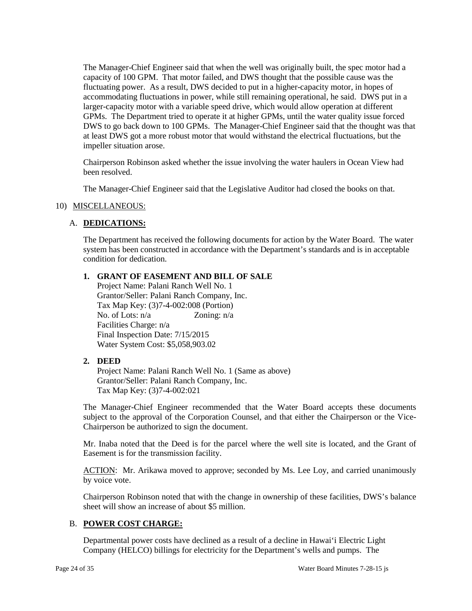The Manager-Chief Engineer said that when the well was originally built, the spec motor had a capacity of 100 GPM. That motor failed, and DWS thought that the possible cause was the accommodating fluctuations in power, while still remaining operational, he said. DWS put in a GPMs. The Department tried to operate it at higher GPMs, until the water quality issue forced fluctuating power. As a result, DWS decided to put in a higher-capacity motor, in hopes of larger-capacity motor with a variable speed drive, which would allow operation at different DWS to go back down to 100 GPMs. The Manager-Chief Engineer said that the thought was that at least DWS got a more robust motor that would withstand the electrical fluctuations, but the impeller situation arose.

 Chairperson Robinson asked whether the issue involving the water haulers in Ocean View had been resolved.

The Manager-Chief Engineer said that the Legislative Auditor had closed the books on that.

### 10) MISCELLANEOUS:

### A. **DEDICATIONS:**

 The Department has received the following documents for action by the Water Board. The water system has been constructed in accordance with the Department's standards and is in acceptable condition for dedication.

#### **1. GRANT OF EASEMENT AND BILL OF SALE**

No. of Lots:  $n/a$  Zoning:  $n/a$  Final Inspection Date: 7/15/2015 Project Name: Palani Ranch Well No. 1 Grantor/Seller: Palani Ranch Company, Inc. Tax Map Key: (3)7-4-002:008 (Portion) Facilities Charge: n/a Water System Cost: \$5,058,903.02

### **2. DEED**

Project Name: Palani Ranch Well No. 1 (Same as above) Grantor/Seller: Palani Ranch Company, Inc. Tax Map Key: (3)7-4-002:021

 The Manager-Chief Engineer recommended that the Water Board accepts these documents subject to the approval of the Corporation Counsel, and that either the Chairperson or the Vice-Chairperson be authorized to sign the document.

 Mr. Inaba noted that the Deed is for the parcel where the well site is located, and the Grant of Easement is for the transmission facility.

ACTION: Mr. Arikawa moved to approve; seconded by Ms. Lee Loy, and carried unanimously by voice vote.

Chairperson Robinson noted that with the change in ownership of these facilities, DWS's balance sheet will show an increase of about \$5 million.

### B. **POWER COST CHARGE:**

Departmental power costs have declined as a result of a decline in Hawai'i Electric Light Company (HELCO) billings for electricity for the Department's wells and pumps. The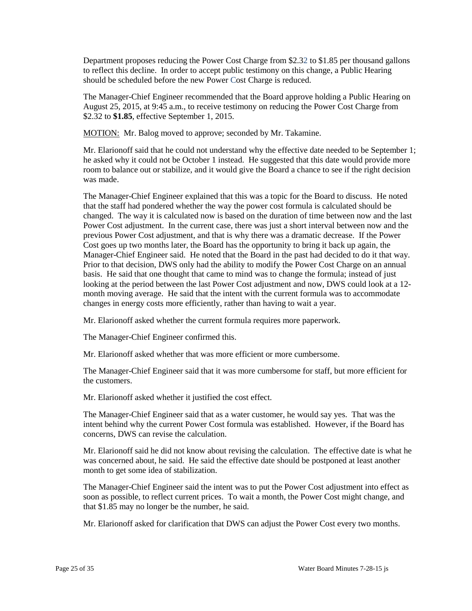to reflect this decline. In order to accept public testimony on this change, a Public Hearing Department proposes reducing the Power Cost Charge from \$2.32 to \$1.85 per thousand gallons should be scheduled before the new Power Cost Charge is reduced.

The Manager-Chief Engineer recommended that the Board approve holding a Public Hearing on August 25, 2015, at 9:45 a.m., to receive testimony on reducing the Power Cost Charge from \$2.32 to **\$1.85**, effective September 1, 2015.

MOTION: Mr. Balog moved to approve; seconded by Mr. Takamine.

 room to balance out or stabilize, and it would give the Board a chance to see if the right decision Mr. Elarionoff said that he could not understand why the effective date needed to be September 1; he asked why it could not be October 1 instead. He suggested that this date would provide more was made.

 The Manager-Chief Engineer explained that this was a topic for the Board to discuss. He noted that the staff had pondered whether the way the power cost formula is calculated should be changed. The way it is calculated now is based on the duration of time between now and the last Manager-Chief Engineer said. He noted that the Board in the past had decided to do it that way. basis. He said that one thought that came to mind was to change the formula; instead of just month moving average. He said that the intent with the current formula was to accommodate Power Cost adjustment. In the current case, there was just a short interval between now and the previous Power Cost adjustment, and that is why there was a dramatic decrease. If the Power Cost goes up two months later, the Board has the opportunity to bring it back up again, the Prior to that decision, DWS only had the ability to modify the Power Cost Charge on an annual looking at the period between the last Power Cost adjustment and now, DWS could look at a 12changes in energy costs more efficiently, rather than having to wait a year.

Mr. Elarionoff asked whether the current formula requires more paperwork.

The Manager-Chief Engineer confirmed this.

Mr. Elarionoff asked whether that was more efficient or more cumbersome.

The Manager-Chief Engineer said that it was more cumbersome for staff, but more efficient for the customers.

Mr. Elarionoff asked whether it justified the cost effect.

The Manager-Chief Engineer said that as a water customer, he would say yes. That was the intent behind why the current Power Cost formula was established. However, if the Board has concerns, DWS can revise the calculation.

 Mr. Elarionoff said he did not know about revising the calculation. The effective date is what he was concerned about, he said. He said the effective date should be postponed at least another month to get some idea of stabilization.

 The Manager-Chief Engineer said the intent was to put the Power Cost adjustment into effect as soon as possible, to reflect current prices. To wait a month, the Power Cost might change, and that \$1.85 may no longer be the number, he said.

Mr. Elarionoff asked for clarification that DWS can adjust the Power Cost every two months.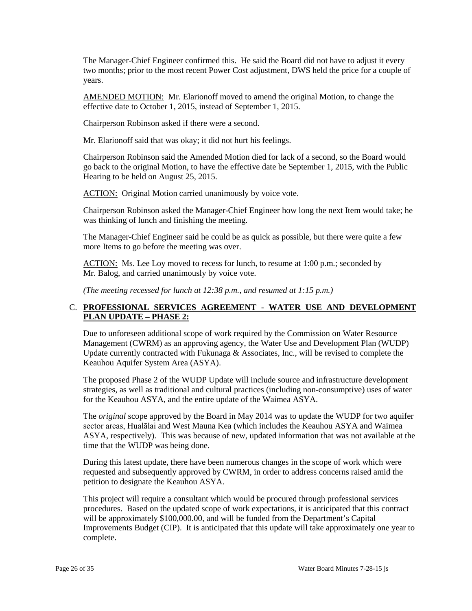two months; prior to the most recent Power Cost adjustment, DWS held the price for a couple of The Manager-Chief Engineer confirmed this. He said the Board did not have to adjust it every years.

AMENDED MOTION: Mr. Elarionoff moved to amend the original Motion, to change the effective date to October 1, 2015, instead of September 1, 2015.

Chairperson Robinson asked if there were a second.

Mr. Elarionoff said that was okay; it did not hurt his feelings.

Chairperson Robinson said the Amended Motion died for lack of a second, so the Board would go back to the original Motion, to have the effective date be September 1, 2015, with the Public Hearing to be held on August 25, 2015.

ACTION: Original Motion carried unanimously by voice vote.

Chairperson Robinson asked the Manager-Chief Engineer how long the next Item would take; he was thinking of lunch and finishing the meeting.

 The Manager-Chief Engineer said he could be as quick as possible, but there were quite a few more Items to go before the meeting was over.

 Mr. Balog, and carried unanimously by voice vote. ACTION: Ms. Lee Loy moved to recess for lunch, to resume at 1:00 p.m.; seconded by

*(The meeting recessed for lunch at 12:38 p.m., and resumed at 1:15 p.m.)* 

# C. **PROFESSIONAL SERVICES AGREEMENT - WATER USE AND DEVELOPMENT PLAN UPDATE – PHASE 2:**

 Management (CWRM) as an approving agency, the Water Use and Development Plan (WUDP) Due to unforeseen additional scope of work required by the Commission on Water Resource Update currently contracted with Fukunaga & Associates, Inc., will be revised to complete the Keauhou Aquifer System Area (ASYA).

The proposed Phase 2 of the WUDP Update will include source and infrastructure development strategies, as well as traditional and cultural practices (including non-consumptive) uses of water for the Keauhou ASYA, and the entire update of the Waimea ASYA.

 The *original* scope approved by the Board in May 2014 was to update the WUDP for two aquifer sector areas, Hualālai and West Mauna Kea (which includes the Keauhou ASYA and Waimea ASYA, respectively). This was because of new, updated information that was not available at the time that the WUDP was being done.

During this latest update, there have been numerous changes in the scope of work which were requested and subsequently approved by CWRM, in order to address concerns raised amid the petition to designate the Keauhou ASYA.

This project will require a consultant which would be procured through professional services procedures. Based on the updated scope of work expectations, it is anticipated that this contract will be approximately \$100,000.00, and will be funded from the Department's Capital Improvements Budget (CIP). It is anticipated that this update will take approximately one year to complete.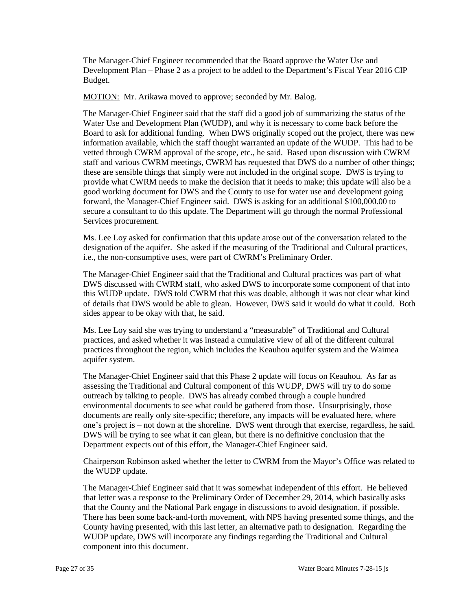The Manager-Chief Engineer recommended that the Board approve the Water Use and Development Plan – Phase 2 as a project to be added to the Department's Fiscal Year 2016 CIP Budget.

MOTION: Mr. Arikawa moved to approve; seconded by Mr. Balog.

 The Manager-Chief Engineer said that the staff did a good job of summarizing the status of the information available, which the staff thought warranted an update of the WUDP. This had to be staff and various CWRM meetings, CWRM has requested that DWS do a number of other things; these are sensible things that simply were not included in the original scope. DWS is trying to good working document for DWS and the County to use for water use and development going Water Use and Development Plan (WUDP), and why it is necessary to come back before the Board to ask for additional funding. When DWS originally scoped out the project, there was new vetted through CWRM approval of the scope, etc., he said. Based upon discussion with CWRM provide what CWRM needs to make the decision that it needs to make; this update will also be a forward, the Manager-Chief Engineer said. DWS is asking for an additional \$100,000.00 to secure a consultant to do this update. The Department will go through the normal Professional Services procurement.

 Ms. Lee Loy asked for confirmation that this update arose out of the conversation related to the designation of the aquifer. She asked if the measuring of the Traditional and Cultural practices, i.e., the non-consumptive uses, were part of CWRM's Preliminary Order.

 The Manager-Chief Engineer said that the Traditional and Cultural practices was part of what this WUDP update. DWS told CWRM that this was doable, although it was not clear what kind sides appear to be okay with that, he said. DWS discussed with CWRM staff, who asked DWS to incorporate some component of that into of details that DWS would be able to glean. However, DWS said it would do what it could. Both

 Ms. Lee Loy said she was trying to understand a "measurable" of Traditional and Cultural practices, and asked whether it was instead a cumulative view of all of the different cultural practices throughout the region, which includes the Keauhou aquifer system and the Waimea aquifer system.

 assessing the Traditional and Cultural component of this WUDP, DWS will try to do some outreach by talking to people. DWS has already combed through a couple hundred one's project is – not down at the shoreline. DWS went through that exercise, regardless, he said. DWS will be trying to see what it can glean, but there is no definitive conclusion that the Department expects out of this effort, the Manager-Chief Engineer said. The Manager-Chief Engineer said that this Phase 2 update will focus on Keauhou. As far as environmental documents to see what could be gathered from those. Unsurprisingly, those documents are really only site-specific; therefore, any impacts will be evaluated here, where

 Chairperson Robinson asked whether the letter to CWRM from the Mayor's Office was related to the WUDP update.

 The Manager-Chief Engineer said that it was somewhat independent of this effort. He believed that letter was a response to the Preliminary Order of December 29, 2014, which basically asks that the County and the National Park engage in discussions to avoid designation, if possible. There has been some back-and-forth movement, with NPS having presented some things, and the County having presented, with this last letter, an alternative path to designation. Regarding the WUDP update, DWS will incorporate any findings regarding the Traditional and Cultural component into this document.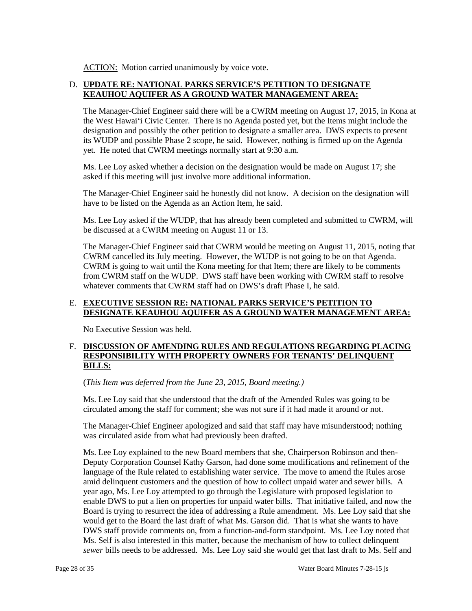ACTION: Motion carried unanimously by voice vote.

# D. **UPDATE RE: NATIONAL PARKS SERVICE'S PETITION TO DESIGNATE KEAUHOU AQUIFER AS A GROUND WATER MANAGEMENT AREA:**

 the West Hawai'i Civic Center. There is no Agenda posted yet, but the Items might include the yet. He noted that CWRM meetings normally start at 9:30 a.m. The Manager-Chief Engineer said there will be a CWRM meeting on August 17, 2015, in Kona at designation and possibly the other petition to designate a smaller area. DWS expects to present its WUDP and possible Phase 2 scope, he said. However, nothing is firmed up on the Agenda

Ms. Lee Loy asked whether a decision on the designation would be made on August 17; she asked if this meeting will just involve more additional information.

The Manager-Chief Engineer said he honestly did not know. A decision on the designation will have to be listed on the Agenda as an Action Item, he said.

Ms. Lee Loy asked if the WUDP, that has already been completed and submitted to CWRM, will be discussed at a CWRM meeting on August 11 or 13.

 CWRM cancelled its July meeting. However, the WUDP is not going to be on that Agenda. The Manager-Chief Engineer said that CWRM would be meeting on August 11, 2015, noting that CWRM is going to wait until the Kona meeting for that Item; there are likely to be comments from CWRM staff on the WUDP. DWS staff have been working with CWRM staff to resolve whatever comments that CWRM staff had on DWS's draft Phase I, he said.

## E. **EXECUTIVE SESSION RE: NATIONAL PARKS SERVICE'S PETITION TO DESIGNATE KEAUHOU AQUIFER AS A GROUND WATER MANAGEMENT AREA:**

No Executive Session was held.

# F. DISCUSSION OF AMENDING RULES AND REGULATIONS REGARDING PLACING **RESPONSIBILITY WITH PROPERTY OWNERS FOR TENANTS' DELINQUENT BILLS:**

(*This Item was deferred from the June 23, 2015, Board meeting.)* 

 Ms. Lee Loy said that she understood that the draft of the Amended Rules was going to be circulated among the staff for comment; she was not sure if it had made it around or not.

The Manager-Chief Engineer apologized and said that staff may have misunderstood; nothing was circulated aside from what had previously been drafted.

 Deputy Corporation Counsel Kathy Garson, had done some modifications and refinement of the language of the Rule related to establishing water service. The move to amend the Rules arose enable DWS to put a lien on properties for unpaid water bills. That initiative failed, and now the Board is trying to resurrect the idea of addressing a Rule amendment. Ms. Lee Loy said that she would get to the Board the last draft of what Ms. Garson did. That is what she wants to have Ms. Self is also interested in this matter, because the mechanism of how to collect delinquent *sewer* bills needs to be addressed. Ms. Lee Loy said she would get that last draft to Ms. Self and Ms. Lee Loy explained to the new Board members that she, Chairperson Robinson and thenamid delinquent customers and the question of how to collect unpaid water and sewer bills. A year ago, Ms. Lee Loy attempted to go through the Legislature with proposed legislation to DWS staff provide comments on, from a function-and-form standpoint. Ms. Lee Loy noted that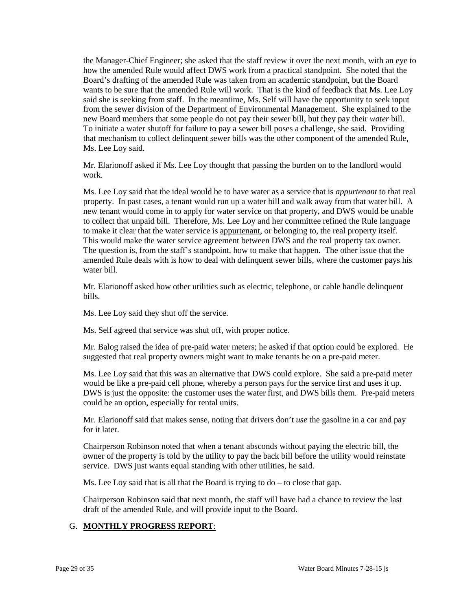the Manager-Chief Engineer; she asked that the staff review it over the next month, with an eye to from the sewer division of the Department of Environmental Management. She explained to the new Board members that some people do not pay their sewer bill, but they pay their water bill. how the amended Rule would affect DWS work from a practical standpoint. She noted that the Board's drafting of the amended Rule was taken from an academic standpoint, but the Board wants to be sure that the amended Rule will work. That is the kind of feedback that Ms. Lee Loy said she is seeking from staff. In the meantime, Ms. Self will have the opportunity to seek input To initiate a water shutoff for failure to pay a sewer bill poses a challenge, she said. Providing that mechanism to collect delinquent sewer bills was the other component of the amended Rule, Ms. Lee Loy said.

Mr. Elarionoff asked if Ms. Lee Loy thought that passing the burden on to the landlord would work.

 Ms. Lee Loy said that the ideal would be to have water as a service that is *appurtenant* to that real property. In past cases, a tenant would run up a water bill and walk away from that water bill. A new tenant would come in to apply for water service on that property, and DWS would be unable to collect that unpaid bill. Therefore, Ms. Lee Loy and her committee refined the Rule language to make it clear that the water service is appurtenant, or belonging to, the real property itself. This would make the water service agreement between DWS and the real property tax owner. The question is, from the staff's standpoint, how to make that happen. The other issue that the amended Rule deals with is how to deal with delinquent sewer bills, where the customer pays his water bill.

Mr. Elarionoff asked how other utilities such as electric, telephone, or cable handle delinquent bills.

Ms. Lee Loy said they shut off the service.

Ms. Self agreed that service was shut off, with proper notice.

 Mr. Balog raised the idea of pre-paid water meters; he asked if that option could be explored. He suggested that real property owners might want to make tenants be on a pre-paid meter.

 Ms. Lee Loy said that this was an alternative that DWS could explore. She said a pre-paid meter would be like a pre-paid cell phone, whereby a person pays for the service first and uses it up. could be an option, especially for rental units. DWS is just the opposite: the customer uses the water first, and DWS bills them. Pre-paid meters

Mr. Elarionoff said that makes sense, noting that drivers don't *use* the gasoline in a car and pay for it later.

 service. DWS just wants equal standing with other utilities, he said. Chairperson Robinson noted that when a tenant absconds without paying the electric bill, the owner of the property is told by the utility to pay the back bill before the utility would reinstate

Ms. Lee Loy said that is all that the Board is trying to do – to close that gap.

 Chairperson Robinson said that next month, the staff will have had a chance to review the last draft of the amended Rule, and will provide input to the Board.

# G. **MONTHLY PROGRESS REPORT**: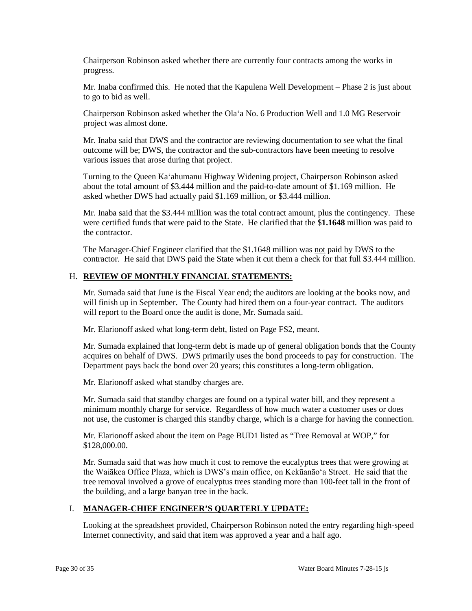Chairperson Robinson asked whether there are currently four contracts among the works in progress.

 Mr. Inaba confirmed this. He noted that the Kapulena Well Development – Phase 2 is just about to go to bid as well.

Chairperson Robinson asked whether the Ola'a No. 6 Production Well and 1.0 MG Reservoir project was almost done.

 outcome will be; DWS, the contractor and the sub-contractors have been meeting to resolve various issues that arose during that project. Mr. Inaba said that DWS and the contractor are reviewing documentation to see what the final

 about the total amount of \$3.444 million and the paid-to-date amount of \$1.169 million. He Turning to the Queen Ka'ahumanu Highway Widening project, Chairperson Robinson asked asked whether DWS had actually paid \$1.169 million, or \$3.444 million.

 Mr. Inaba said that the \$3.444 million was the total contract amount, plus the contingency. These were certified funds that were paid to the State. He clarified that the \$**1.1648** million was paid to the contractor.

 contractor. He said that DWS paid the State when it cut them a check for that full \$3.444 million. The Manager-Chief Engineer clarified that the \$1.1648 million was not paid by DWS to the

# H. **REVIEW OF MONTHLY FINANCIAL STATEMENTS:**

 Mr. Sumada said that June is the Fiscal Year end; the auditors are looking at the books now, and will finish up in September. The County had hired them on a four-year contract. The auditors will report to the Board once the audit is done, Mr. Sumada said.

Mr. Elarionoff asked what long-term debt, listed on Page FS2, meant.

Mr. Sumada explained that long-term debt is made up of general obligation bonds that the County acquires on behalf of DWS. DWS primarily uses the bond proceeds to pay for construction. The Department pays back the bond over 20 years; this constitutes a long-term obligation.

Mr. Elarionoff asked what standby charges are.

Mr. Sumada said that standby charges are found on a typical water bill, and they represent a minimum monthly charge for service. Regardless of how much water a customer uses or does not use, the customer is charged this standby charge, which is a charge for having the connection.

 Mr. Elarionoff asked about the item on Page BUD1 listed as "Tree Removal at WOP," for \$128,000.00.

 the Waiākea Office Plaza, which is DWS's main office, on Kekūanāo'a Street. He said that the Mr. Sumada said that was how much it cost to remove the eucalyptus trees that were growing at tree removal involved a grove of eucalyptus trees standing more than 100-feet tall in the front of the building, and a large banyan tree in the back.

### I. **MANAGER-CHIEF ENGINEER'S QUARTERLY UPDATE:**

 Looking at the spreadsheet provided, Chairperson Robinson noted the entry regarding high-speed Internet connectivity, and said that item was approved a year and a half ago.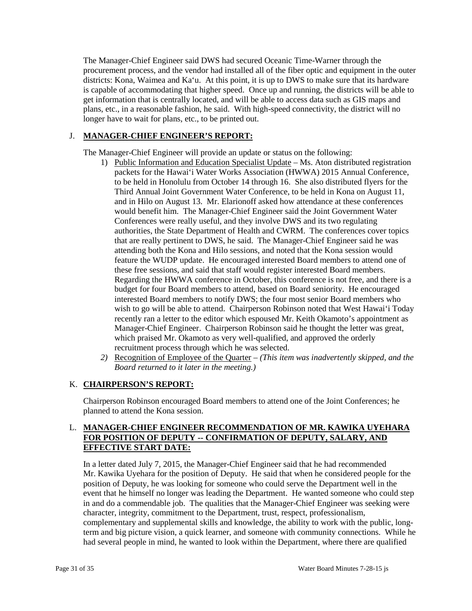districts: Kona, Waimea and Ka'u. At this point, it is up to DWS to make sure that its hardware plans, etc., in a reasonable fashion, he said. With high-speed connectivity, the district will no The Manager-Chief Engineer said DWS had secured Oceanic Time-Warner through the procurement process, and the vendor had installed all of the fiber optic and equipment in the outer is capable of accommodating that higher speed. Once up and running, the districts will be able to get information that is centrally located, and will be able to access data such as GIS maps and longer have to wait for plans, etc., to be printed out.

# J. **MANAGER-CHIEF ENGINEER'S REPORT:**

The Manager-Chief Engineer will provide an update or status on the following:

- to be held in Honolulu from October 14 through 16. She also distributed flyers for the that are really pertinent to DWS, he said. The Manager-Chief Engineer said he was attending both the Kona and Hilo sessions, and noted that the Kona session would feature the WUDP update. He encouraged interested Board members to attend one of these free sessions, and said that staff would register interested Board members. interested Board members to notify DWS; the four most senior Board members who wish to go will be able to attend. Chairperson Robinson noted that West Hawai'i Today recently ran a letter to the editor which espoused Mr. Keith Okamoto's appointment as 1) Public Information and Education Specialist Update – Ms. Aton distributed registration packets for the Hawai'i Water Works Association (HWWA) 2015 Annual Conference, Third Annual Joint Government Water Conference, to be held in Kona on August 11, and in Hilo on August 13. Mr. Elarionoff asked how attendance at these conferences would benefit him. The Manager-Chief Engineer said the Joint Government Water Conferences were really useful, and they involve DWS and its two regulating authorities, the State Department of Health and CWRM. The conferences cover topics Regarding the HWWA conference in October, this conference is not free, and there is a budget for four Board members to attend, based on Board seniority. He encouraged Manager-Chief Engineer. Chairperson Robinson said he thought the letter was great, which praised Mr. Okamoto as very well-qualified, and approved the orderly recruitment process through which he was selected.
- *2)* Recognition of Employee of the Quarter *(This item was inadvertently skipped, and the Board returned to it later in the meeting.)*

# K. **CHAIRPERSON'S REPORT:**

 Chairperson Robinson encouraged Board members to attend one of the Joint Conferences; he planned to attend the Kona session.

# **FOR POSITION OF DEPUTY -- CONFIRMATION OF DEPUTY, SALARY, AND**  L. **MANAGER-CHIEF ENGINEER RECOMMENDATION OF MR. KAWIKA UYEHARA EFFECTIVE START DATE:**

 In a letter dated July 7, 2015, the Manager-Chief Engineer said that he had recommended position of Deputy, he was looking for someone who could serve the Department well in the in and do a commendable job. The qualities that the Manager-Chief Engineer was seeking were Mr. Kawika Uyehara for the position of Deputy. He said that when he considered people for the event that he himself no longer was leading the Department. He wanted someone who could step character, integrity, commitment to the Department, trust, respect, professionalism, complementary and supplemental skills and knowledge, the ability to work with the public, longterm and big picture vision, a quick learner, and someone with community connections. While he had several people in mind, he wanted to look within the Department, where there are qualified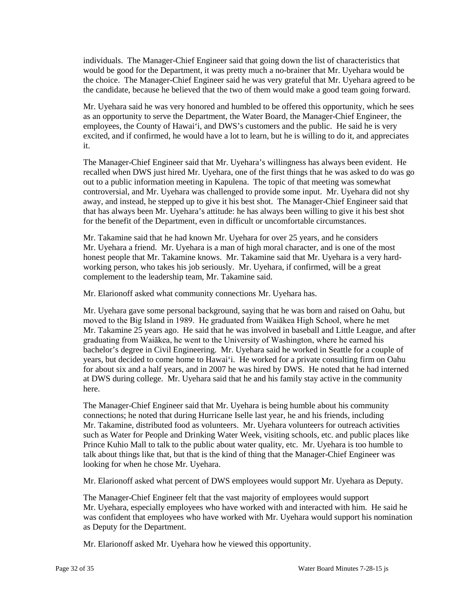individuals. The Manager-Chief Engineer said that going down the list of characteristics that the choice. The Manager-Chief Engineer said he was very grateful that Mr. Uyehara agreed to be the candidate, because he believed that the two of them would make a good team going forward. would be good for the Department, it was pretty much a no-brainer that Mr. Uyehara would be

 as an opportunity to serve the Department, the Water Board, the Manager-Chief Engineer, the Mr. Uyehara said he was very honored and humbled to be offered this opportunity, which he sees employees, the County of Hawai'i, and DWS's customers and the public. He said he is very excited, and if confirmed, he would have a lot to learn, but he is willing to do it, and appreciates it.

 out to a public information meeting in Kapulena. The topic of that meeting was somewhat The Manager-Chief Engineer said that Mr. Uyehara's willingness has always been evident. He recalled when DWS just hired Mr. Uyehara, one of the first things that he was asked to do was go controversial, and Mr. Uyehara was challenged to provide some input. Mr. Uyehara did not shy away, and instead, he stepped up to give it his best shot. The Manager-Chief Engineer said that that has always been Mr. Uyehara's attitude: he has always been willing to give it his best shot for the benefit of the Department, even in difficult or uncomfortable circumstances.

 Mr. Uyehara a friend. Mr. Uyehara is a man of high moral character, and is one of the most honest people that Mr. Takamine knows. Mr. Takamine said that Mr. Uyehara is a very hard- working person, who takes his job seriously. Mr. Uyehara, if confirmed, will be a great Mr. Takamine said that he had known Mr. Uyehara for over 25 years, and he considers complement to the leadership team, Mr. Takamine said.

Mr. Elarionoff asked what community connections Mr. Uyehara has.

 graduating from Waiākea, he went to the University of Washington, where he earned his bachelor's degree in Civil Engineering. Mr. Uyehara said he worked in Seattle for a couple of Mr. Uyehara gave some personal background, saying that he was born and raised on Oahu, but moved to the Big Island in 1989. He graduated from Waiākea High School, where he met Mr. Takamine 25 years ago. He said that he was involved in baseball and Little League, and after years, but decided to come home to Hawai'i. He worked for a private consulting firm on Oahu for about six and a half years, and in 2007 he was hired by DWS. He noted that he had interned at DWS during college. Mr. Uyehara said that he and his family stay active in the community here.

 such as Water for People and Drinking Water Week, visiting schools, etc. and public places like Prince Kuhio Mall to talk to the public about water quality, etc. Mr. Uyehara is too humble to talk about things like that, but that is the kind of thing that the Manager-Chief Engineer was looking for when he chose Mr. Uyehara. The Manager-Chief Engineer said that Mr. Uyehara is being humble about his community connections; he noted that during Hurricane Iselle last year, he and his friends, including Mr. Takamine, distributed food as volunteers. Mr. Uyehara volunteers for outreach activities

Mr. Elarionoff asked what percent of DWS employees would support Mr. Uyehara as Deputy.

 as Deputy for the Department. The Manager-Chief Engineer felt that the vast majority of employees would support Mr. Uyehara, especially employees who have worked with and interacted with him. He said he was confident that employees who have worked with Mr. Uyehara would support his nomination

Mr. Elarionoff asked Mr. Uyehara how he viewed this opportunity.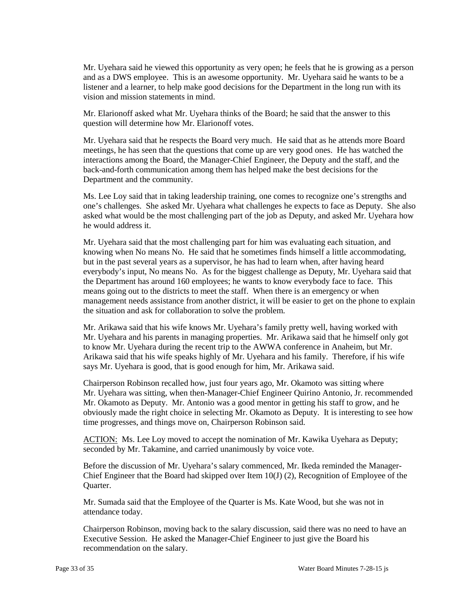and as a DWS employee. This is an awesome opportunity. Mr. Uyehara said he wants to be a listener and a learner, to help make good decisions for the Department in the long run with its vision and mission statements in mind. Mr. Uyehara said he viewed this opportunity as very open; he feels that he is growing as a person

 Mr. Elarionoff asked what Mr. Uyehara thinks of the Board; he said that the answer to this question will determine how Mr. Elarionoff votes.

 meetings, he has seen that the questions that come up are very good ones. He has watched the back-and-forth communication among them has helped make the best decisions for the Mr. Uyehara said that he respects the Board very much. He said that as he attends more Board interactions among the Board, the Manager-Chief Engineer, the Deputy and the staff, and the Department and the community.

 Ms. Lee Loy said that in taking leadership training, one comes to recognize one's strengths and one's challenges. She asked Mr. Uyehara what challenges he expects to face as Deputy. She also asked what would be the most challenging part of the job as Deputy, and asked Mr. Uyehara how he would address it.

 but in the past several years as a supervisor, he has had to learn when, after having heard the Department has around 160 employees; he wants to know everybody face to face. This management needs assistance from another district, it will be easier to get on the phone to explain Mr. Uyehara said that the most challenging part for him was evaluating each situation, and knowing when No means No. He said that he sometimes finds himself a little accommodating, everybody's input, No means No. As for the biggest challenge as Deputy, Mr. Uyehara said that means going out to the districts to meet the staff. When there is an emergency or when the situation and ask for collaboration to solve the problem.

Mr. Arikawa said that his wife knows Mr. Uyehara's family pretty well, having worked with Mr. Uyehara and his parents in managing properties. Mr. Arikawa said that he himself only got to know Mr. Uyehara during the recent trip to the AWWA conference in Anaheim, but Mr. Arikawa said that his wife speaks highly of Mr. Uyehara and his family. Therefore, if his wife says Mr. Uyehara is good, that is good enough for him, Mr. Arikawa said.

 Chairperson Robinson recalled how, just four years ago, Mr. Okamoto was sitting where obviously made the right choice in selecting Mr. Okamoto as Deputy. It is interesting to see how Mr. Uyehara was sitting, when then-Manager-Chief Engineer Quirino Antonio, Jr. recommended Mr. Okamoto as Deputy. Mr. Antonio was a good mentor in getting his staff to grow, and he time progresses, and things move on, Chairperson Robinson said.

ACTION: Ms. Lee Loy moved to accept the nomination of Mr. Kawika Uyehara as Deputy; seconded by Mr. Takamine, and carried unanimously by voice vote.

 Chief Engineer that the Board had skipped over Item 10(J) (2), Recognition of Employee of the Before the discussion of Mr. Uyehara's salary commenced, Mr. Ikeda reminded the Manager-Quarter.

 Mr. Sumada said that the Employee of the Quarter is Ms. Kate Wood, but she was not in attendance today.

Chairperson Robinson, moving back to the salary discussion, said there was no need to have an Executive Session. He asked the Manager-Chief Engineer to just give the Board his recommendation on the salary.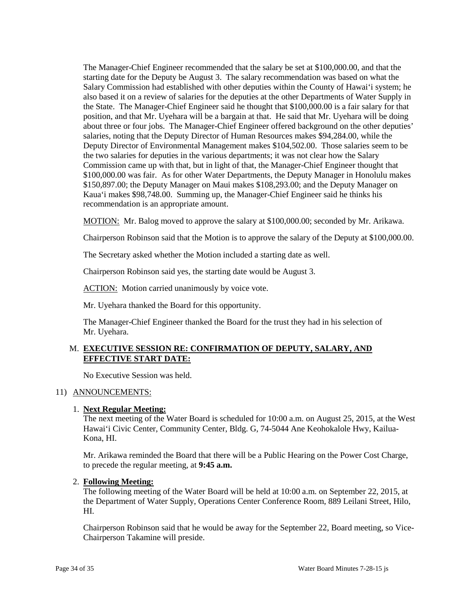The Manager-Chief Engineer recommended that the salary be set at \$100,000.00, and that the starting date for the Deputy be August 3. The salary recommendation was based on what the also based it on a review of salaries for the deputies at the other Departments of Water Supply in the State. The Manager-Chief Engineer said he thought that \$100,000.00 is a fair salary for that position, and that Mr. Uyehara will be a bargain at that. He said that Mr. Uyehara will be doing about three or four jobs. The Manager-Chief Engineer offered background on the other deputies' Commission came up with that, but in light of that, the Manager-Chief Engineer thought that \$100,000.00 was fair. As for other Water Departments, the Deputy Manager in Honolulu makes \$150,897.00; the Deputy Manager on Maui makes \$108,293.00; and the Deputy Manager on Salary Commission had established with other deputies within the County of Hawai'i system; he salaries, noting that the Deputy Director of Human Resources makes \$94,284.00, while the Deputy Director of Environmental Management makes \$104,502.00. Those salaries seem to be the two salaries for deputies in the various departments; it was not clear how the Salary Kaua'i makes \$98,748.00. Summing up, the Manager-Chief Engineer said he thinks his recommendation is an appropriate amount.

MOTION: Mr. Balog moved to approve the salary at \$100,000.00; seconded by Mr. Arikawa.

Chairperson Robinson said that the Motion is to approve the salary of the Deputy at \$100,000.00.

The Secretary asked whether the Motion included a starting date as well.

Chairperson Robinson said yes, the starting date would be August 3.

ACTION: Motion carried unanimously by voice vote.

Mr. Uyehara thanked the Board for this opportunity.

 The Manager-Chief Engineer thanked the Board for the trust they had in his selection of Mr. Uyehara.

### M. **EXECUTIVE SESSION RE: CONFIRMATION OF DEPUTY, SALARY, AND EFFECTIVE START DATE:**

No Executive Session was held.

#### 11) ANNOUNCEMENTS:

#### 1. **Next Regular Meeting:**

 The next meeting of the Water Board is scheduled for 10:00 a.m. on August 25, 2015, at the West Hawai'i Civic Center, Community Center, Bldg. G, 74-5044 Ane Keohokalole Hwy, Kailua-Kona, HI.

Mr. Arikawa reminded the Board that there will be a Public Hearing on the Power Cost Charge, to precede the regular meeting, at **9:45 a.m.** 

#### 2. **Following Meeting:**

The following meeting of the Water Board will be held at 10:00 a.m. on September 22, 2015, at the Department of Water Supply, Operations Center Conference Room, 889 Leilani Street, Hilo, HI.

Chairperson Robinson said that he would be away for the September 22, Board meeting, so Vice-Chairperson Takamine will preside.